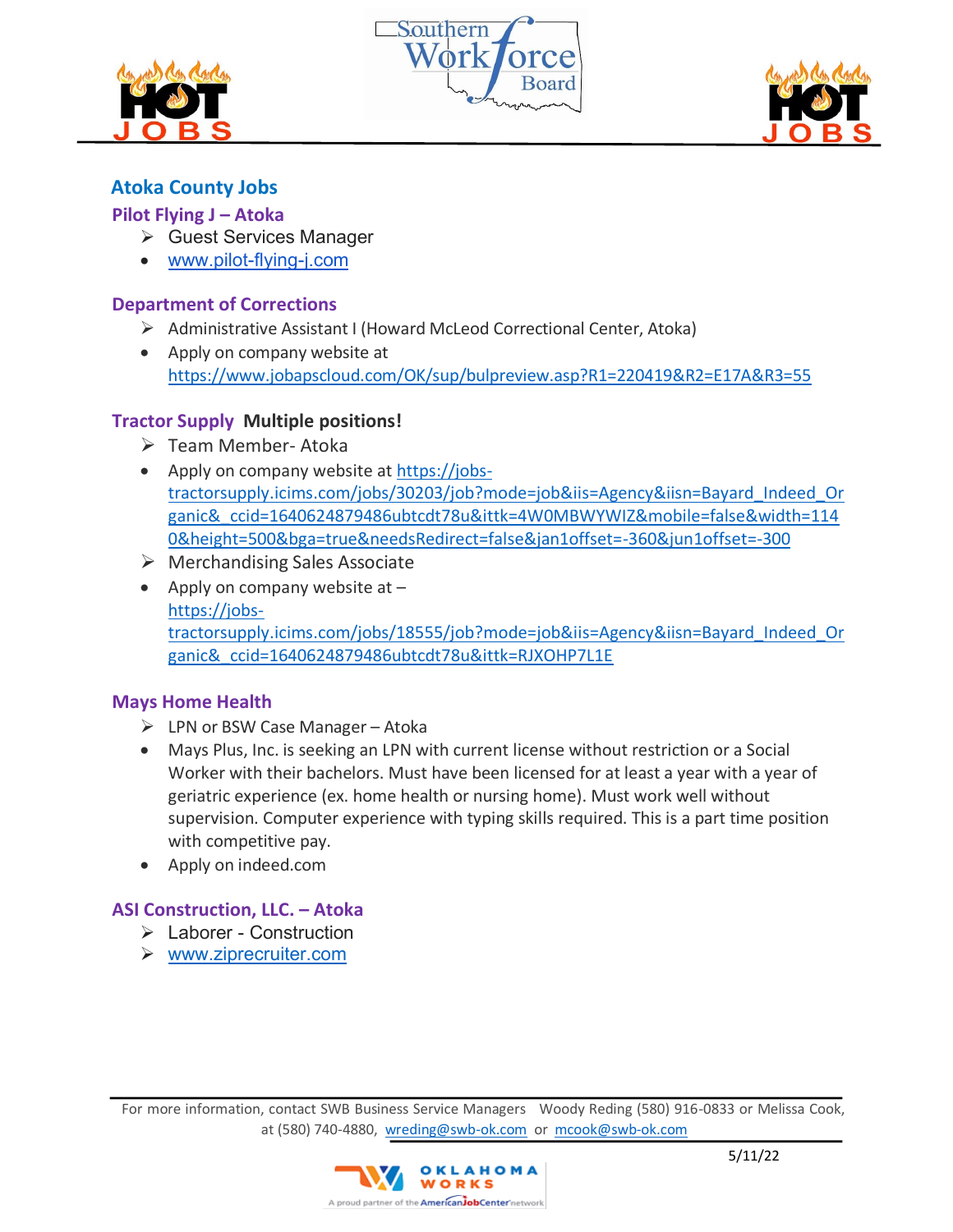





# **Atoka County Jobs**

## **Pilot Flying J – Atoka**

- ➢ Guest Services Manager
- [www.pilot-flying-j.com](http://www.pilot-flying-j.com/)

## **[Department of Corrections](https://www.indeed.com/cmp/Oklahoma-Department-of-Corrections?campaignid=mobvjcmp&from=mobviewjob&tk=1g18tpmeni6gi800&fromjk=6589305f29478345)**

- ➢ Administrative Assistant I (Howard McLeod Correctional Center, Atoka)
- Apply on company website at <https://www.jobapscloud.com/OK/sup/bulpreview.asp?R1=220419&R2=E17A&R3=55>

# **Tractor Supply Multiple positions!**

- ➢ Team Member- Atoka
- Apply on company website at [https://jobs](https://jobs-tractorsupply.icims.com/jobs/30203/job?mode=job&iis=Agency&iisn=Bayard_Indeed_Organic&_ccid=1640624879486ubtcdt78u&ittk=4W0MBWYWIZ&mobile=false&width=1140&height=500&bga=true&needsRedirect=false&jan1offset=-360&jun1offset=-300)[tractorsupply.icims.com/jobs/30203/job?mode=job&iis=Agency&iisn=Bayard\\_Indeed\\_Or](https://jobs-tractorsupply.icims.com/jobs/30203/job?mode=job&iis=Agency&iisn=Bayard_Indeed_Organic&_ccid=1640624879486ubtcdt78u&ittk=4W0MBWYWIZ&mobile=false&width=1140&height=500&bga=true&needsRedirect=false&jan1offset=-360&jun1offset=-300) [ganic&\\_ccid=1640624879486ubtcdt78u&ittk=4W0MBWYWIZ&mobile=false&width=114](https://jobs-tractorsupply.icims.com/jobs/30203/job?mode=job&iis=Agency&iisn=Bayard_Indeed_Organic&_ccid=1640624879486ubtcdt78u&ittk=4W0MBWYWIZ&mobile=false&width=1140&height=500&bga=true&needsRedirect=false&jan1offset=-360&jun1offset=-300) [0&height=500&bga=true&needsRedirect=false&jan1offset=-360&jun1offset=-300](https://jobs-tractorsupply.icims.com/jobs/30203/job?mode=job&iis=Agency&iisn=Bayard_Indeed_Organic&_ccid=1640624879486ubtcdt78u&ittk=4W0MBWYWIZ&mobile=false&width=1140&height=500&bga=true&needsRedirect=false&jan1offset=-360&jun1offset=-300)
- $\triangleright$  Merchandising Sales Associate
- Apply on company website at  $$ [https://jobs](https://jobs-tractorsupply.icims.com/jobs/18555/job?mode=job&iis=Agency&iisn=Bayard_Indeed_Organic&_ccid=1640624879486ubtcdt78u&ittk=RJXOHP7L1E)[tractorsupply.icims.com/jobs/18555/job?mode=job&iis=Agency&iisn=Bayard\\_Indeed\\_Or](https://jobs-tractorsupply.icims.com/jobs/18555/job?mode=job&iis=Agency&iisn=Bayard_Indeed_Organic&_ccid=1640624879486ubtcdt78u&ittk=RJXOHP7L1E) [ganic&\\_ccid=1640624879486ubtcdt78u&ittk=RJXOHP7L1E](https://jobs-tractorsupply.icims.com/jobs/18555/job?mode=job&iis=Agency&iisn=Bayard_Indeed_Organic&_ccid=1640624879486ubtcdt78u&ittk=RJXOHP7L1E)

# **[Mays Home Health](https://www.indeed.com/cmp/Mays-Home-Health?campaignid=mobvjcmp&from=mobviewjob&tk=1g18v2auaq6ib800&fromjk=f3e2ff41c933cbf1)**

- $\triangleright$  LPN or BSW Case Manager Atoka
- Mays Plus, Inc. is seeking an LPN with current license without restriction or a Social Worker with their bachelors. Must have been licensed for at least a year with a year of geriatric experience (ex. home health or nursing home). Must work well without supervision. Computer experience with typing skills required. This is a part time position with competitive pay.
- Apply on indeed.com

# **ASI Construction, LLC. – Atoka**

- ➢ Laborer Construction
- ➢ [www.ziprecruiter.com](http://www.ziprecruiter.com/)

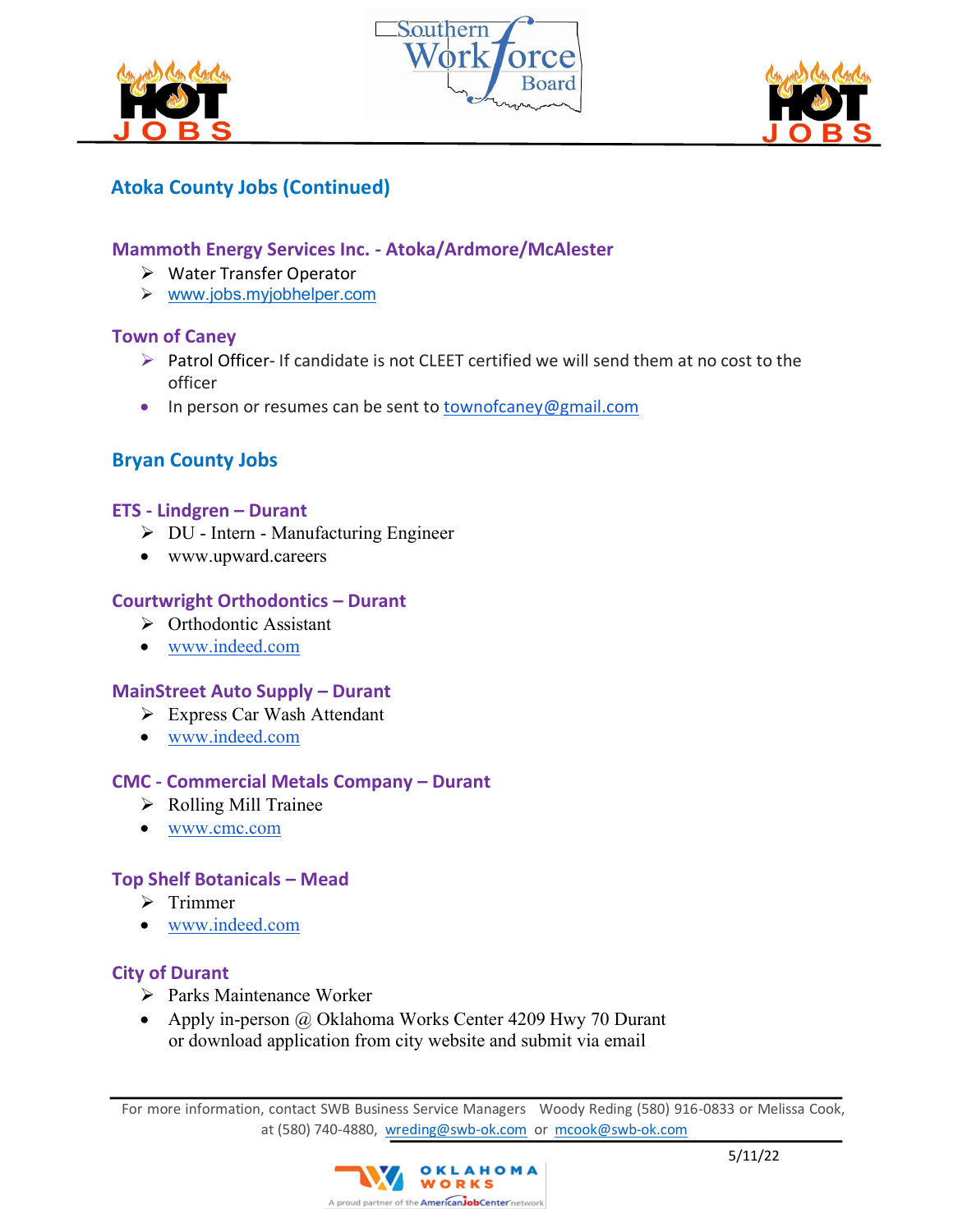





# **Atoka County Jobs (Continued)**

## **Mammoth Energy Services Inc. - Atoka/Ardmore/McAlester**

- ➢ Water Transfer Operator
- ➢ [www.jobs.myjobhelper.com](http://www.jobs.myjobhelper.com/)

#### **Town of Caney**

- ➢ Patrol Officer- If candidate is not CLEET certified we will send them at no cost to the officer
- In person or resumes can be sent to [townofcaney@gmail.com](mailto:townofcaney@gmail.com)

# **Bryan County Jobs**

#### **ETS - Lindgren – Durant**

- ➢ DU Intern Manufacturing Engineer
- www.upward.careers

#### **Courtwright Orthodontics – Durant**

- ➢ Orthodontic Assistant
- [www.indeed.com](http://www.indeed.com/)

#### **MainStreet Auto Supply – Durant**

- ➢ Express Car Wash Attendant
- [www.indeed.com](http://www.indeed.com/)

#### **CMC - Commercial Metals Company – Durant**

- ➢ Rolling Mill Trainee
- [www.cmc.com](http://www.cmc.com/)

#### **Top Shelf Botanicals – Mead**

- ➢ Trimmer
- [www.indeed.com](http://www.indeed.com/)

#### **City of Durant**

- ➢ Parks Maintenance Worker
- Apply in-person @ Oklahoma Works Center 4209 Hwy 70 Durant or download application from city website and submit via email

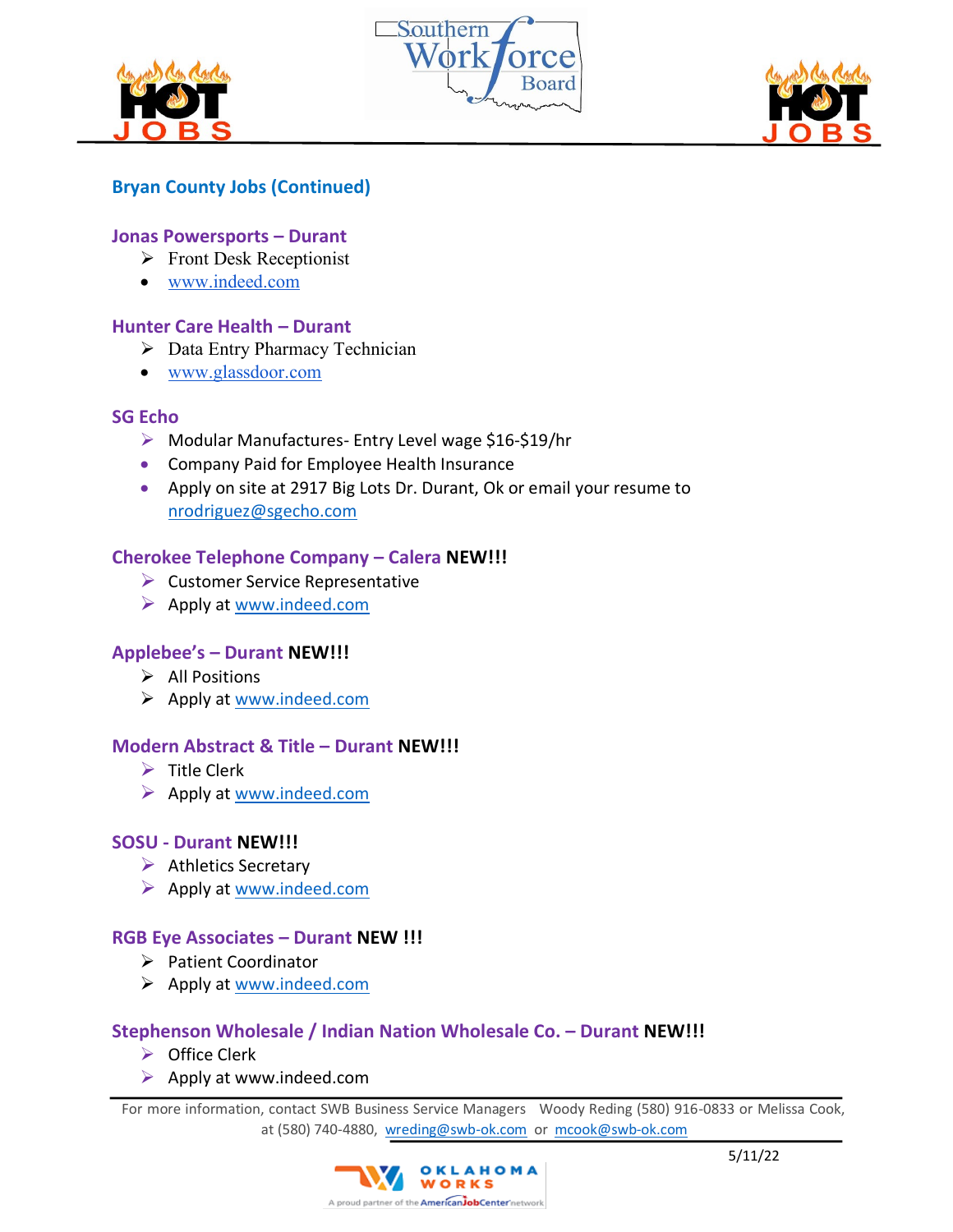





## **Bryan County Jobs (Continued)**

#### **Jonas Powersports – Durant**

- ➢ Front Desk Receptionist
- [www.indeed.com](http://www.indeed.com/)

#### **Hunter Care Health – Durant**

- ➢ Data Entry Pharmacy Technician
- [www.glassdoor.com](http://www.glassdoor.com/)

#### **SG Echo**

- ➢ Modular Manufactures- Entry Level wage \$16-\$19/hr
- Company Paid for Employee Health Insurance
- Apply on site at 2917 Big Lots Dr. Durant, Ok or email your resume to [nrodriguez@sgecho.com](mailto:nrodriguez@sgecho.com)

## **Cherokee Telephone Company – Calera NEW!!!**

- ➢ Customer Service Representative
- $\triangleright$  Apply at [www.indeed.com](http://www.indeed.com/)

## **Applebee's – Durant NEW!!!**

- ➢ All Positions
- ➢ Apply at [www.indeed.com](http://www.indeed.com/)

#### **Modern Abstract & Title – Durant NEW!!!**

- $\triangleright$  Title Clerk
- ➢ Apply at [www.indeed.com](http://www.indeed.com/)

#### **SOSU - Durant NEW!!!**

- ➢ Athletics Secretary
- $\triangleright$  Apply at [www.indeed.com](http://www.indeed.com/)

## **RGB Eye Associates – Durant NEW !!!**

- ➢ Patient Coordinator
- ➢ Apply at [www.indeed.com](http://www.indeed.com/)

## **Stephenson Wholesale / Indian Nation Wholesale Co. – Durant NEW!!!**

- ➢ Office Clerk
- $\triangleright$  Apply at www.indeed.com

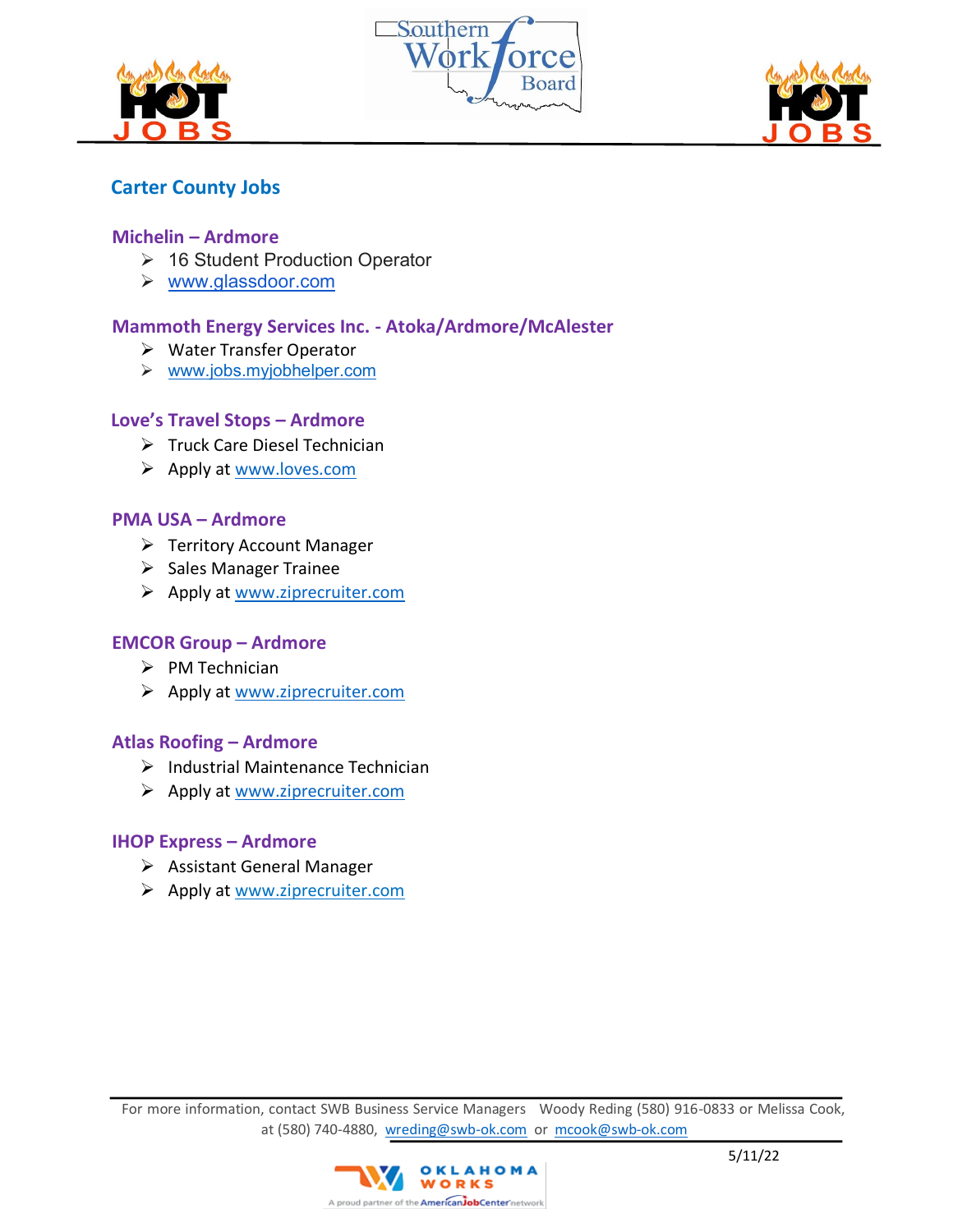





# **Carter County Jobs**

#### **Michelin – Ardmore**

- ➢ 16 Student Production Operator
- ➢ [www.glassdoor.com](http://www.glassdoor.com/)

## **Mammoth Energy Services Inc. - Atoka/Ardmore/McAlester**

- ➢ Water Transfer Operator
- ➢ [www.jobs.myjobhelper.com](http://www.jobs.myjobhelper.com/)

#### **Love's Travel Stops – Ardmore**

- ➢ Truck Care Diesel Technician
- ➢ Apply at [www.loves.com](http://www.loves.com/)

#### **PMA USA – Ardmore**

- ➢ Territory Account Manager
- ➢ Sales Manager Trainee
- ➢ Apply at [www.ziprecruiter.com](http://www.ziprecruiter.com/)

#### **EMCOR Group – Ardmore**

- ➢ PM Technician
- ➢ Apply at [www.ziprecruiter.com](http://www.ziprecruiter.com/)

#### **Atlas Roofing – Ardmore**

- $\triangleright$  Industrial Maintenance Technician
- ➢ Apply at [www.ziprecruiter.com](http://www.ziprecruiter.com/)

#### **IHOP Express – Ardmore**

- ➢ Assistant General Manager
- ➢ Apply at www.ziprecruiter.com

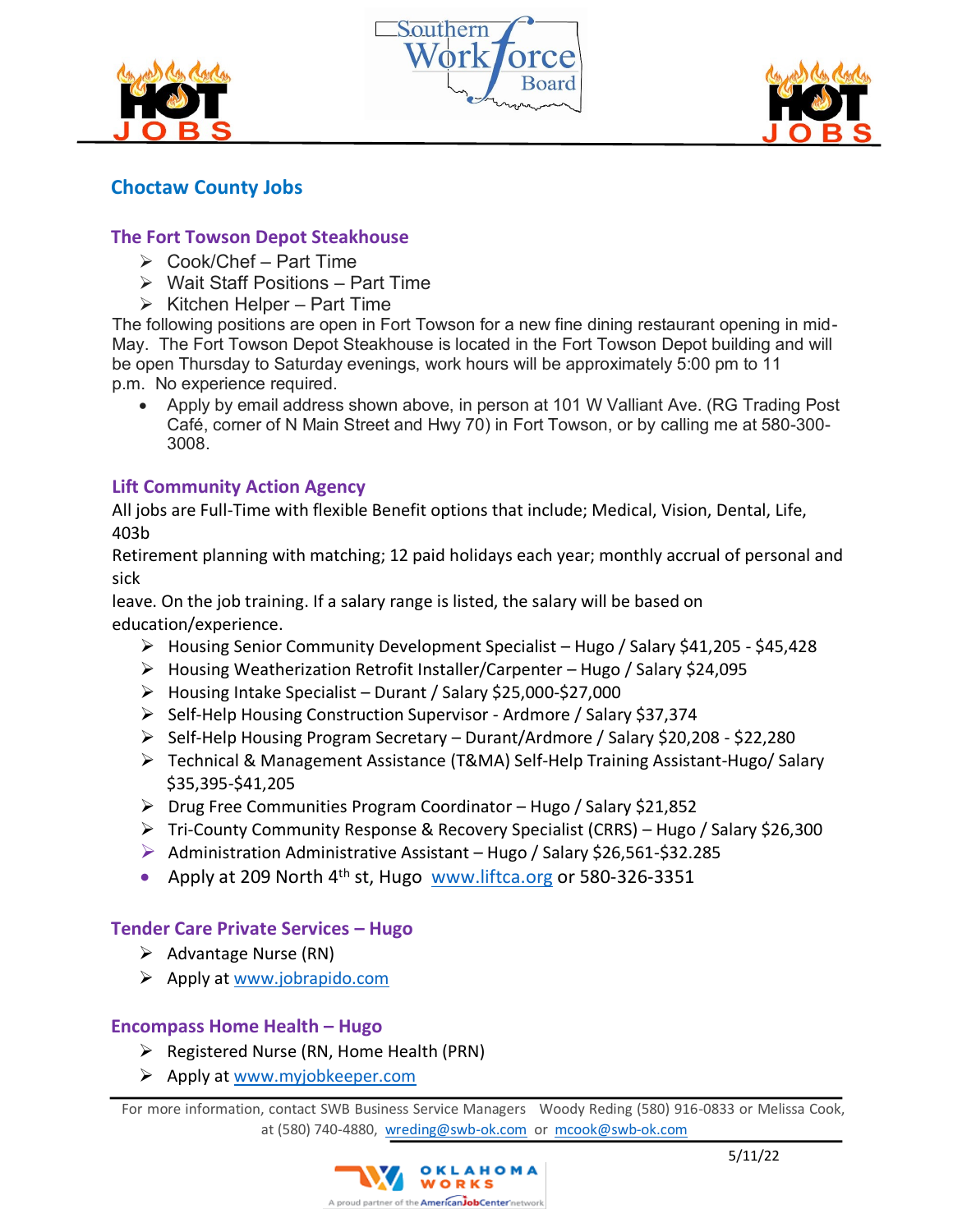





# **Choctaw County Jobs**

## **The Fort Towson Depot Steakhouse**

- $\triangleright$  Cook/Chef Part Time
- ➢ Wait Staff Positions Part Time
- $\triangleright$  Kitchen Helper Part Time

The following positions are open in Fort Towson for a new fine dining restaurant opening in mid-May. The Fort Towson Depot Steakhouse is located in the Fort Towson Depot building and will be open Thursday to Saturday evenings, work hours will be approximately 5:00 pm to 11 p.m. No experience required.

• Apply by email address shown above, in person at 101 W Valliant Ave. (RG Trading Post Café, corner of N Main Street and Hwy 70) in Fort Towson, or by calling me at 580-300- 3008.

## **Lift Community Action Agency**

All jobs are Full-Time with flexible Benefit options that include; Medical, Vision, Dental, Life, 403b

Retirement planning with matching; 12 paid holidays each year; monthly accrual of personal and sick

leave. On the job training. If a salary range is listed, the salary will be based on education/experience.

- ➢ Housing Senior Community Development Specialist Hugo / Salary \$41,205 \$45,428
- ➢ Housing Weatherization Retrofit Installer/Carpenter Hugo / Salary \$24,095
- ➢ Housing Intake Specialist Durant / Salary \$25,000-\$27,000
- ➢ Self-Help Housing Construction Supervisor Ardmore / Salary \$37,374
- ➢ Self-Help Housing Program Secretary Durant/Ardmore / Salary \$20,208 \$22,280
- ➢ Technical & Management Assistance (T&MA) Self-Help Training Assistant-Hugo/ Salary \$35,395-\$41,205
- ➢ Drug Free Communities Program Coordinator Hugo / Salary \$21,852
- ➢ Tri-County Community Response & Recovery Specialist (CRRS) Hugo / Salary \$26,300
- ➢ Administration Administrative Assistant Hugo / Salary \$26,561-\$32.285
- Apply at 209 North 4th st, Hugo[www.liftca.org](http://www.liftca.org/) or 580-326-3351

## **Tender Care Private Services – Hugo**

- ➢ Advantage Nurse (RN)
- ➢ Apply at [www.jobrapido.com](http://www.jobrapido.com/)

#### **Encompass Home Health – Hugo**

- ➢ Registered Nurse (RN, Home Health (PRN)
- ➢ Apply at [www.myjobkeeper.com](http://www.myjobkeeper.com/)

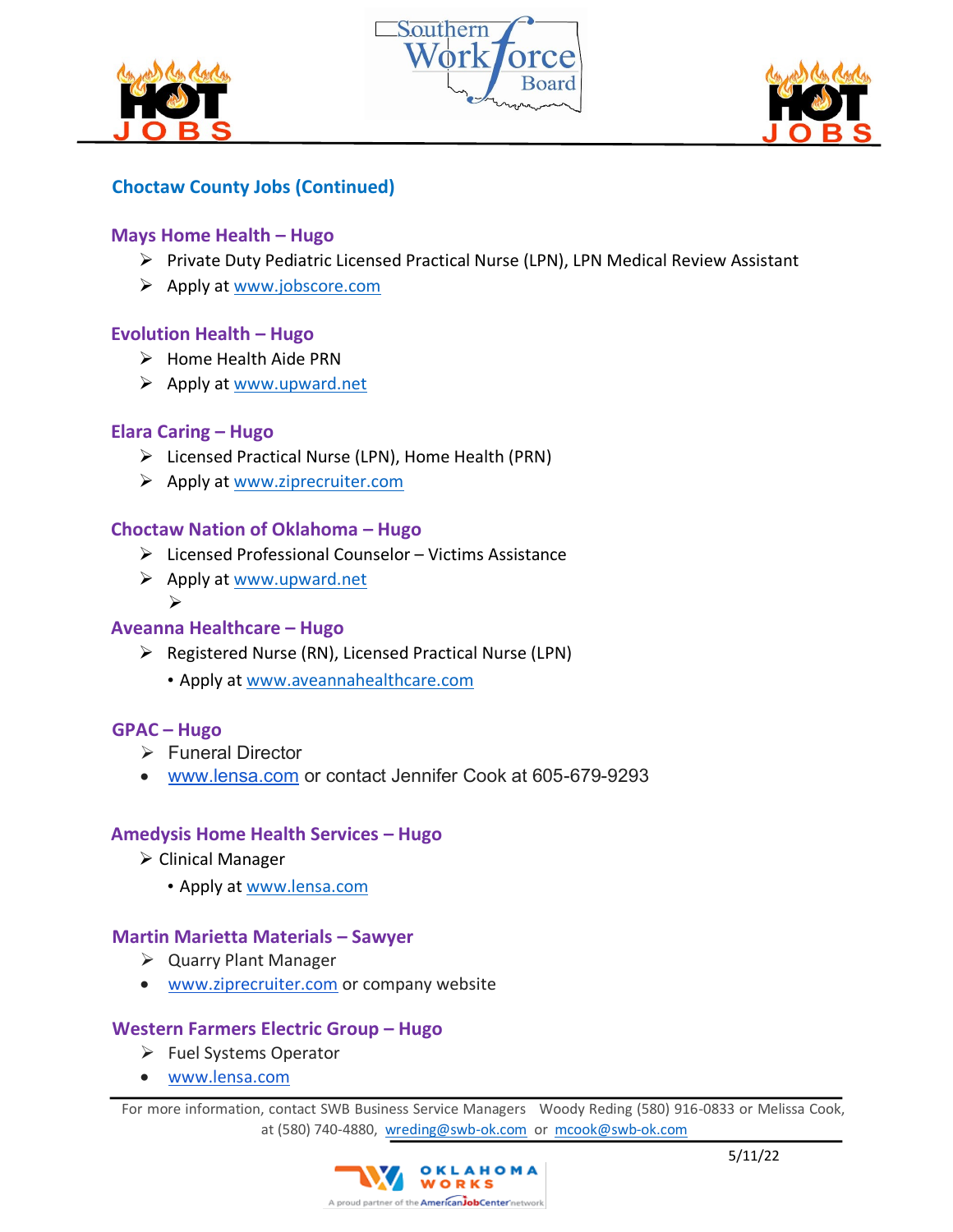





# **Choctaw County Jobs (Continued)**

## **Mays Home Health – Hugo**

- ➢ Private Duty Pediatric Licensed Practical Nurse (LPN), LPN Medical Review Assistant
- ➢ Apply at [www.jobscore.com](http://www.jobscore.com/)

## **Evolution Health – Hugo**

- ➢ Home Health Aide PRN
- ➢ Apply at [www.upward.net](http://www.upward.net/)

## **Elara Caring – Hugo**

- ➢ Licensed Practical Nurse (LPN), Home Health (PRN)
- ➢ Apply at [www.ziprecruiter.com](http://www.ziprecruiter.com/)

## **Choctaw Nation of Oklahoma – Hugo**

- ➢ Licensed Professional Counselor Victims Assistance
- ➢ Apply at [www.upward.net](http://www.upward.net/) ➢

## **Aveanna Healthcare – Hugo**

- ➢ Registered Nurse (RN), Licensed Practical Nurse (LPN)
	- Apply at [www.aveannahealthcare.com](http://www.aveannahealthcare.com/)

## **GPAC – Hugo**

- ➢ Funeral Director
- [www.lensa.com](http://www.lensa.com/) or contact Jennifer Cook at 605-679-9293

## **Amedysis Home Health Services – Hugo**

- ➢ Clinical Manager
	- Apply at [www.lensa.com](http://www.lensa.com/)

## **Martin Marietta Materials – Sawyer**

- ➢ Quarry Plant Manager
- [www.ziprecruiter.com](http://www.ziprecruiter.com/) or company website

## **Western Farmers Electric Group – Hugo**

- ➢ Fuel Systems Operator
- [www.lensa.com](http://www.lensa.com/)

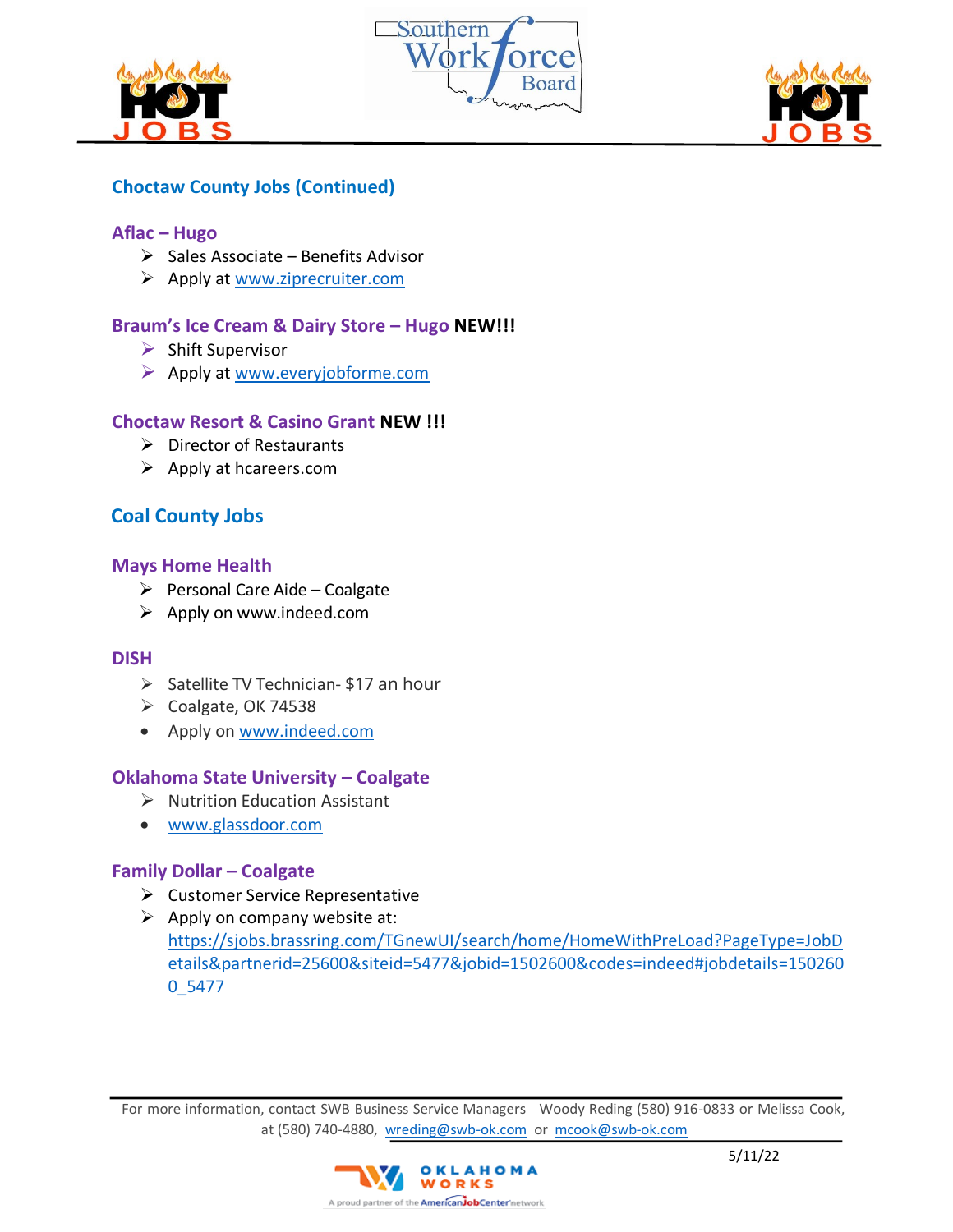





# **Choctaw County Jobs (Continued)**

#### **Aflac – Hugo**

- $\triangleright$  Sales Associate Benefits Advisor
- $\triangleright$  Apply at [www.ziprecruiter.com](http://www.ziprecruiter.com/)

## **Braum's Ice Cream & Dairy Store – Hugo NEW!!!**

- $\triangleright$  Shift Supervisor
- ➢ Apply at [www.everyjobforme.com](http://www.everyjobforme.com/)

## **Choctaw Resort & Casino Grant NEW !!!**

- ➢ Director of Restaurants
- ➢ Apply at hcareers.com

# **Coal County Jobs**

#### **[Mays Home Health](https://www.indeed.com/cmp/Mays-Home-Health?campaignid=mobvjcmp&from=mobviewjob&tk=1g18vk2m7q69i800&fromjk=22967ee8f5983312)**

- $\triangleright$  Personal Care Aide Coalgate
- ➢ Apply on www.indeed.com

#### **[DISH](https://www.indeed.comdish/?campaignid=mobvjcmp&from=mobviewjob&tk=1g149p9otr0me801&fromjk=318598eb4aae9afb)**

- ➢ Satellite TV Technician- \$17 an hour
- ➢ Coalgate, OK 74538
- Apply on [www.indeed.com](http://www.indeed.com/)

## **Oklahoma State University – Coalgate**

- ➢ Nutrition Education Assistant
- [www.glassdoor.com](http://www.glassdoor.com/)

#### **Family Dollar – Coalgate**

- ➢ Customer Service Representative
- $\triangleright$  Apply on company website at: [https://sjobs.brassring.com/TGnewUI/search/home/HomeWithPreLoad?PageType=JobD](https://sjobs.brassring.com/TGnewUI/search/home/HomeWithPreLoad?PageType=JobDetails&partnerid=25600&siteid=5477&jobid=1502600&codes=indeed#jobdetails=1502600_5477) [etails&partnerid=25600&siteid=5477&jobid=1502600&codes=indeed#jobdetails=150260](https://sjobs.brassring.com/TGnewUI/search/home/HomeWithPreLoad?PageType=JobDetails&partnerid=25600&siteid=5477&jobid=1502600&codes=indeed#jobdetails=1502600_5477) [0\\_5477](https://sjobs.brassring.com/TGnewUI/search/home/HomeWithPreLoad?PageType=JobDetails&partnerid=25600&siteid=5477&jobid=1502600&codes=indeed#jobdetails=1502600_5477)

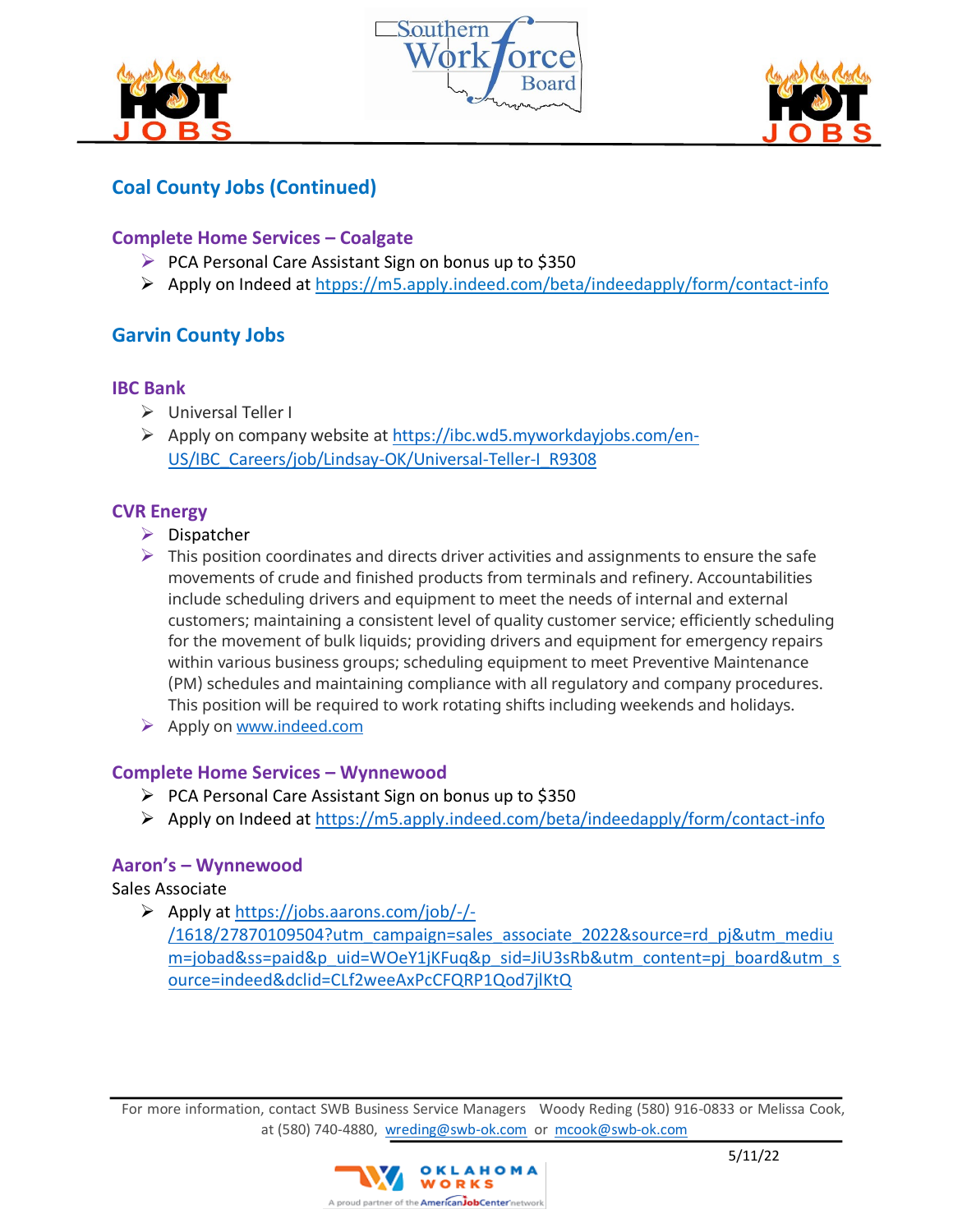





# **Coal County Jobs (Continued)**

## **Complete Home Services – Coalgate**

- ➢ PCA Personal Care Assistant Sign on bonus up to \$350
- ➢ Apply on Indeed at htpps://m5.apply.indeed.com/beta/indeedapply/form/contact-info

# **Garvin County Jobs**

#### **IBC Bank**

- ➢ Universal Teller I
- ➢ Apply on company website at [https://ibc.wd5.myworkdayjobs.com/en-](https://ibc.wd5.myworkdayjobs.com/en-US/IBC_Careers/job/Lindsay-OK/Universal-Teller-I_R9308)[US/IBC\\_Careers/job/Lindsay-OK/Universal-Teller-I\\_R9308](https://ibc.wd5.myworkdayjobs.com/en-US/IBC_Careers/job/Lindsay-OK/Universal-Teller-I_R9308)

## **CVR Energy**

- ➢ Dispatcher
- $\triangleright$  This position coordinates and directs driver activities and assignments to ensure the safe movements of crude and finished products from terminals and refinery. Accountabilities include scheduling drivers and equipment to meet the needs of internal and external customers; maintaining a consistent level of quality customer service; efficiently scheduling for the movement of bulk liquids; providing drivers and equipment for emergency repairs within various business groups; scheduling equipment to meet Preventive Maintenance (PM) schedules and maintaining compliance with all regulatory and company procedures. This position will be required to work rotating shifts including weekends and holidays.
- ➢ Apply on [www.indeed.com](http://www.indeed.com/)

## **Complete Home Services – Wynnewood**

- ➢ PCA Personal Care Assistant Sign on bonus up to \$350
- ➢ Apply on Indeed at<https://m5.apply.indeed.com/beta/indeedapply/form/contact-info>

## **Aaron's – Wynnewood**

## Sales Associate

➢ Apply at [https://jobs.aarons.com/job/-/-](https://jobs.aarons.com/job/-/-/1618/27870109504?utm_campaign=sales_associate_2022&source=rd_pj&utm_medium=jobad&ss=paid&p_uid=WOeY1jKFuq&p_sid=JiU3sRb&utm_content=pj_board&utm_source=indeed&dclid=CLf2weeAxPcCFQRP1Qod7jlKtQ)

[/1618/27870109504?utm\\_campaign=sales\\_associate\\_2022&source=rd\\_pj&utm\\_mediu](https://jobs.aarons.com/job/-/-/1618/27870109504?utm_campaign=sales_associate_2022&source=rd_pj&utm_medium=jobad&ss=paid&p_uid=WOeY1jKFuq&p_sid=JiU3sRb&utm_content=pj_board&utm_source=indeed&dclid=CLf2weeAxPcCFQRP1Qod7jlKtQ) [m=jobad&ss=paid&p\\_uid=WOeY1jKFuq&p\\_sid=JiU3sRb&utm\\_content=pj\\_board&utm\\_s](https://jobs.aarons.com/job/-/-/1618/27870109504?utm_campaign=sales_associate_2022&source=rd_pj&utm_medium=jobad&ss=paid&p_uid=WOeY1jKFuq&p_sid=JiU3sRb&utm_content=pj_board&utm_source=indeed&dclid=CLf2weeAxPcCFQRP1Qod7jlKtQ) [ource=indeed&dclid=CLf2weeAxPcCFQRP1Qod7jlKtQ](https://jobs.aarons.com/job/-/-/1618/27870109504?utm_campaign=sales_associate_2022&source=rd_pj&utm_medium=jobad&ss=paid&p_uid=WOeY1jKFuq&p_sid=JiU3sRb&utm_content=pj_board&utm_source=indeed&dclid=CLf2weeAxPcCFQRP1Qod7jlKtQ)

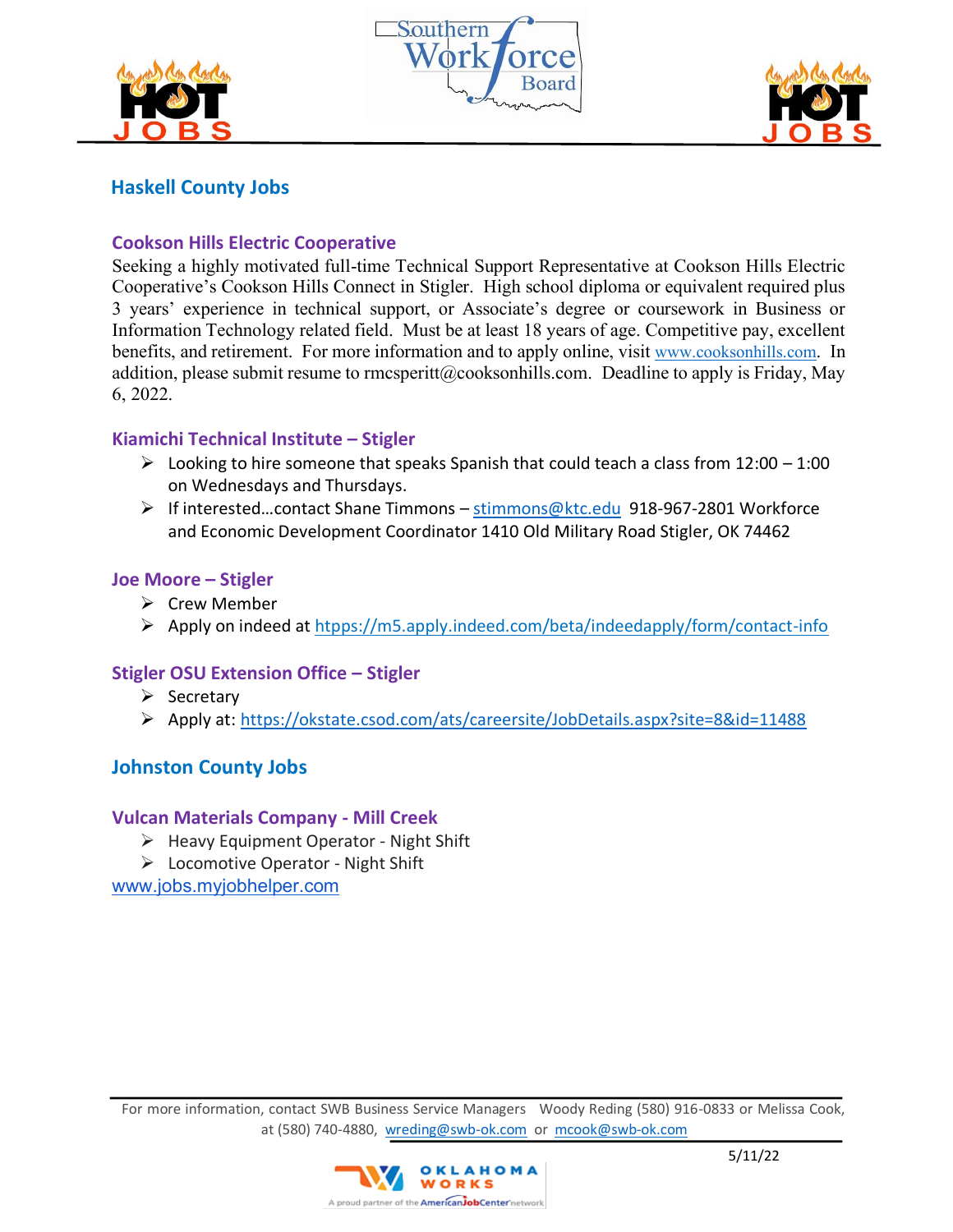





# **Haskell County Jobs**

## **Cookson Hills Electric Cooperative**

Seeking a highly motivated full-time Technical Support Representative at Cookson Hills Electric Cooperative's Cookson Hills Connect in Stigler. High school diploma or equivalent required plus 3 years' experience in technical support, or Associate's degree or coursework in Business or Information Technology related field. Must be at least 18 years of age. Competitive pay, excellent benefits, and retirement. For more information and to apply online, visit [www.cooksonhills.com](http://www.cooksonhills.com/). In addition, please submit resume to rmcsperitt@cooksonhills.com. Deadline to apply is Friday, May 6, 2022.

## **Kiamichi Technical Institute – Stigler**

- $\triangleright$  Looking to hire someone that speaks Spanish that could teach a class from 12:00 1:00 on Wednesdays and Thursdays.
- ➢ If interested…contact Shane Timmons [stimmons@ktc.edu](mailto:stimmons@ktc.edu) 918-967-2801 Workforce and Economic Development Coordinator 1410 Old Military Road Stigler, OK 74462

## **Joe Moore – Stigler**

- ➢ Crew Member
- ➢ Apply on indeed at htpps://m5.apply.indeed.com/beta/indeedapply/form/contact-info

# **Stigler OSU Extension Office – Stigler**

- ➢ Secretary
- ➢ Apply at: <https://okstate.csod.com/ats/careersite/JobDetails.aspx?site=8&id=11488>

# **Johnston County Jobs**

## **Vulcan Materials Company - Mill Creek**

- ➢ Heavy Equipment Operator Night Shift
- ➢ Locomotive Operator Night Shift

[www.jobs.myjobhelper.com](http://www.jobs.myjobhelper.com/)

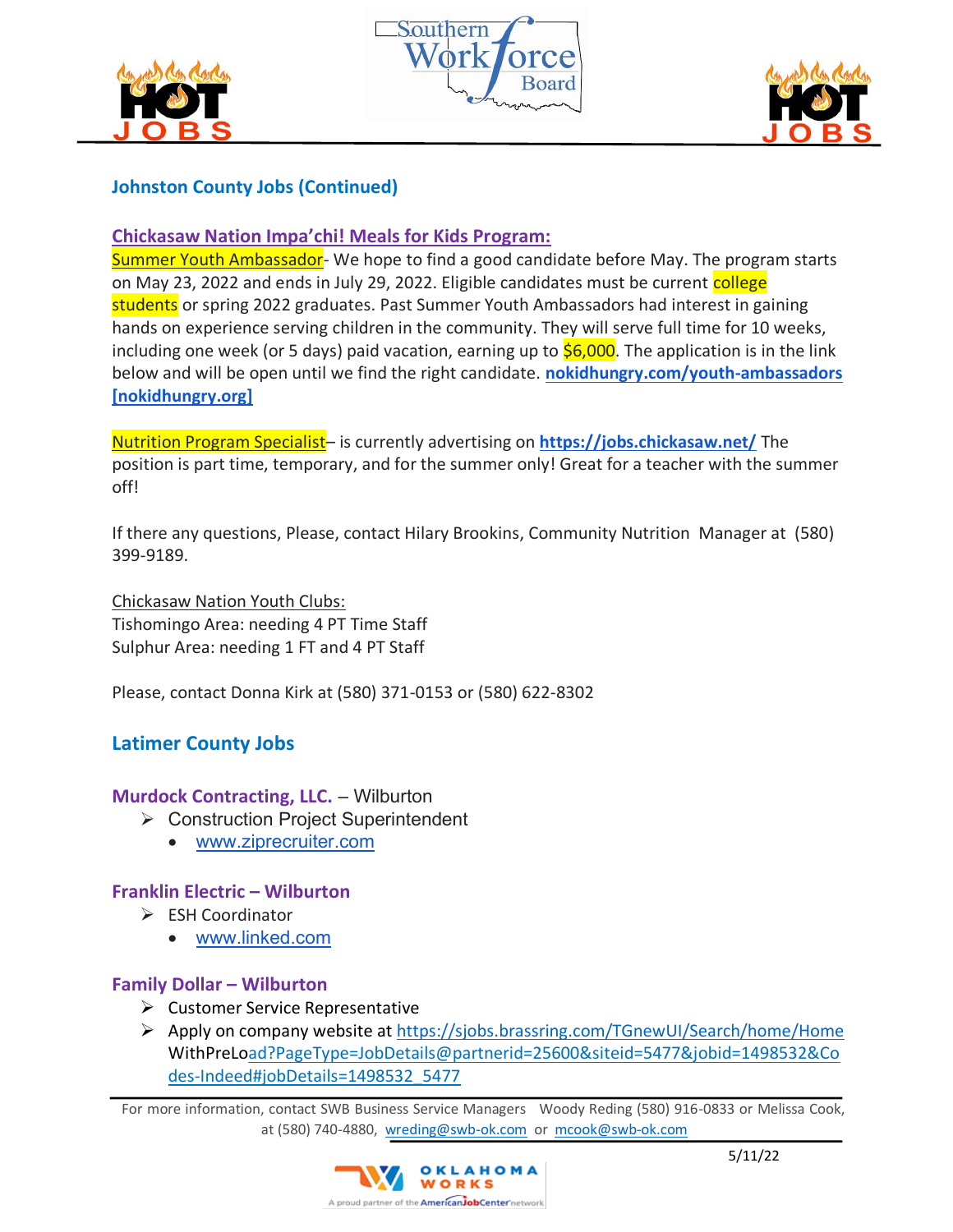





# **Johnston County Jobs (Continued)**

**Chickasaw Nation Impa'chi! Meals for Kids Program:**

Summer Youth Ambassador- We hope to find a good candidate before May. The program starts on May 23, 2022 and ends in July 29, 2022. Eligible candidates must be current college students or spring 2022 graduates. Past Summer Youth Ambassadors had interest in gaining hands on experience serving children in the community. They will serve full time for 10 weeks, including one week (or 5 days) paid vacation, earning up to  $$6,000$ . The application is in the link below and will be open until we find the right candidate. **[nokidhungry.com/youth-ambassadors](https://nam12.safelinks.protection.outlook.com/?url=https%3A%2F%2Furldefense.com%2Fv3%2F__https%3A%2Fwww.nokidhungry.org%2Fyouth-ambassadors__%3B!!IMeFMrRG1GeY!P1EDI8BzuarkBQV40oXexqump_tn3WWY_BP9kh4_VfBa_08Pj6yZL0xpYmgk1l9Ct90r0FM_%24&data=05%7C01%7CLori.McMillin%40mercy.net%7C490f4495c66240021cec08da2d44fbbf%7Cf1afa14862d1472cb26d4c1cfdcaa997%7C0%7C0%7C637872071870622650%7CUnknown%7CTWFpbGZsb3d8eyJWIjoiMC4wLjAwMDAiLCJQIjoiV2luMzIiLCJBTiI6Ik1haWwiLCJXVCI6Mn0%3D%7C2000%7C%7C%7C&sdata=rvxmG7e0iPuI%2F4VshH7RiJpSt7%2B6rH273TijxzRmqqM%3D&reserved=0)  [\[nokidhungry.org\]](https://nam12.safelinks.protection.outlook.com/?url=https%3A%2F%2Furldefense.com%2Fv3%2F__https%3A%2Fwww.nokidhungry.org%2Fyouth-ambassadors__%3B!!IMeFMrRG1GeY!P1EDI8BzuarkBQV40oXexqump_tn3WWY_BP9kh4_VfBa_08Pj6yZL0xpYmgk1l9Ct90r0FM_%24&data=05%7C01%7CLori.McMillin%40mercy.net%7C490f4495c66240021cec08da2d44fbbf%7Cf1afa14862d1472cb26d4c1cfdcaa997%7C0%7C0%7C637872071870622650%7CUnknown%7CTWFpbGZsb3d8eyJWIjoiMC4wLjAwMDAiLCJQIjoiV2luMzIiLCJBTiI6Ik1haWwiLCJXVCI6Mn0%3D%7C2000%7C%7C%7C&sdata=rvxmG7e0iPuI%2F4VshH7RiJpSt7%2B6rH273TijxzRmqqM%3D&reserved=0)**

Nutrition Program Specialist– is currently advertising on **[https://jobs.chickasaw.net/](https://nam12.safelinks.protection.outlook.com/?url=https%3A%2F%2Fjobs.chickasaw.net%2F&data=05%7C01%7CLori.McMillin%40mercy.net%7C490f4495c66240021cec08da2d44fbbf%7Cf1afa14862d1472cb26d4c1cfdcaa997%7C0%7C0%7C637872071870622650%7CUnknown%7CTWFpbGZsb3d8eyJWIjoiMC4wLjAwMDAiLCJQIjoiV2luMzIiLCJBTiI6Ik1haWwiLCJXVCI6Mn0%3D%7C2000%7C%7C%7C&sdata=bfEsca77RtxjnBZ2jqgQFY3%2F0Z3%2B0BzNifgSsFpaKjU%3D&reserved=0)** The position is part time, temporary, and for the summer only! Great for a teacher with the summer off!

If there any questions, Please, contact Hilary Brookins, Community Nutrition Manager at (580) 399-9189.

Chickasaw Nation Youth Clubs: Tishomingo Area: needing 4 PT Time Staff Sulphur Area: needing 1 FT and 4 PT Staff

Please, contact Donna Kirk at (580) 371-0153 or (580) 622-8302

# **Latimer County Jobs**

## **Murdock Contracting, LLC.** – Wilburton

- ➢ Construction Project Superintendent
	- [www.ziprecruiter.com](http://www.ziprecruiter.com/)

# **Franklin Electric – Wilburton**

- ➢ ESH Coordinator
	- [www.linked.com](http://www.linked.com/)

# **Family Dollar – Wilburton**

- $\triangleright$  Customer Service Representative
- ➢ Apply on company website at <https://sjobs.brassring.com/TGnewUI/Search/home/Home> WithPreLoad?PageType=JobDetails@partnerid=25600&siteid=5477&jobid=1498532&Co des-Indeed#jobDetails=1498532\_5477

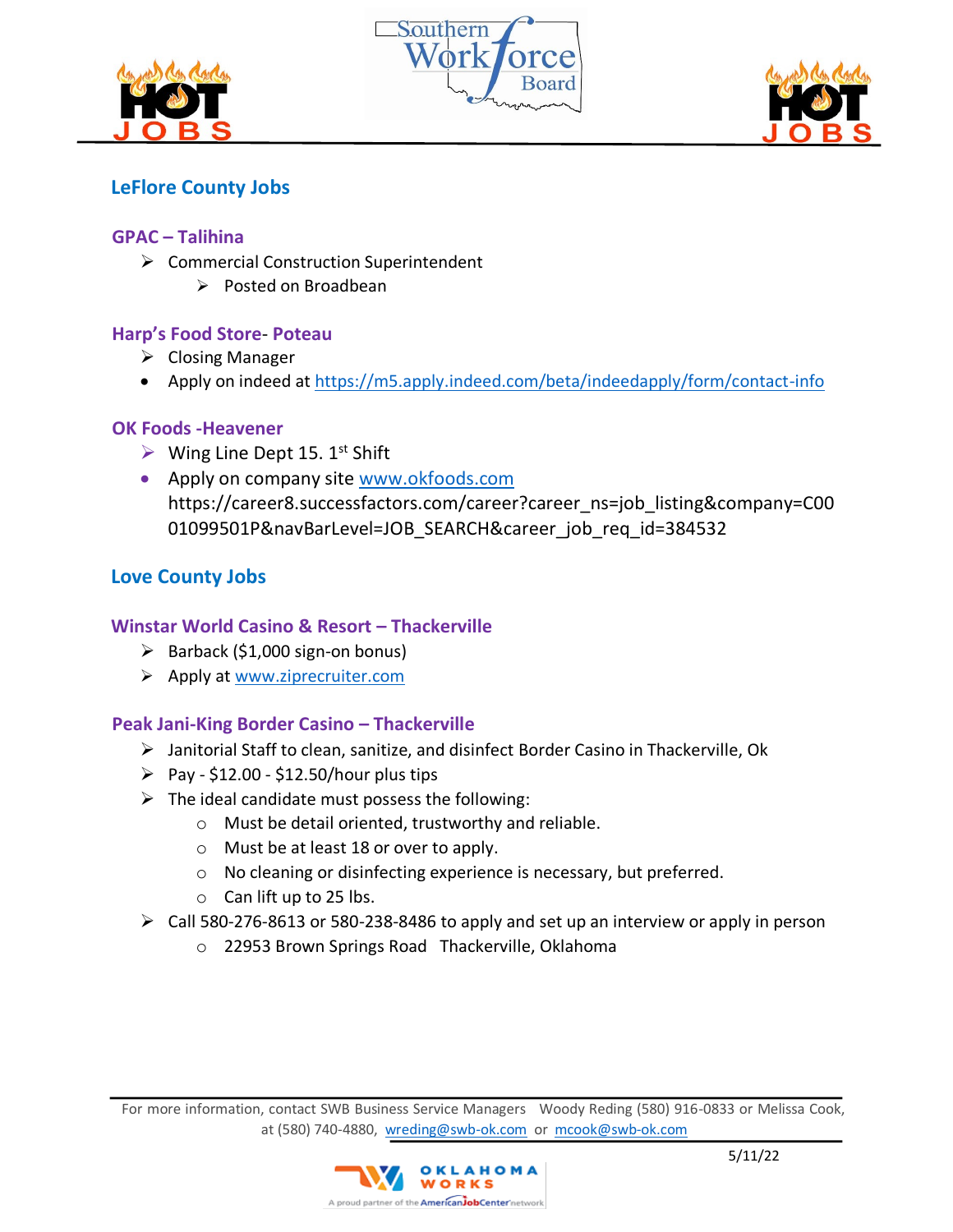





# **LeFlore County Jobs**

## **GPAC – Talihina**

- ➢ Commercial Construction Superintendent
	- ➢ Posted on Broadbean

## **Harp's Food Store**- **Poteau**

- ➢ Closing Manager
- Apply on indeed at<https://m5.apply.indeed.com/beta/indeedapply/form/contact-info>

## **OK Foods -Heavener**

- $\triangleright$  Wing Line Dept 15. 1<sup>st</sup> Shift
- Apply on company site [www.okfoods.com](http://www.okfoods.com/) https://career8.successfactors.com/career?career\_ns=job\_listing&company=C00 01099501P&navBarLevel=JOB\_SEARCH&career\_job\_req\_id=384532

# **Love County Jobs**

## **Winstar World Casino & Resort – Thackerville**

- $\triangleright$  Barback (\$1,000 sign-on bonus)
- ➢ Apply at [www.ziprecruiter.com](http://www.ziprecruiter.com/)

# **Peak Jani-King Border Casino – Thackerville**

- ➢ Janitorial Staff to clean, sanitize, and disinfect Border Casino in Thackerville, Ok
- $\triangleright$  Pay \$12.00 \$12.50/hour plus tips
- $\triangleright$  The ideal candidate must possess the following:
	- o Must be detail oriented, trustworthy and reliable.
	- o Must be at least 18 or over to apply.
	- o No cleaning or disinfecting experience is necessary, but preferred.
	- o Can lift up to 25 lbs.
- ➢ Call 580-276-8613 or 580-238-8486 to apply and set up an interview or apply in person
	- o 22953 Brown Springs Road Thackerville, Oklahoma

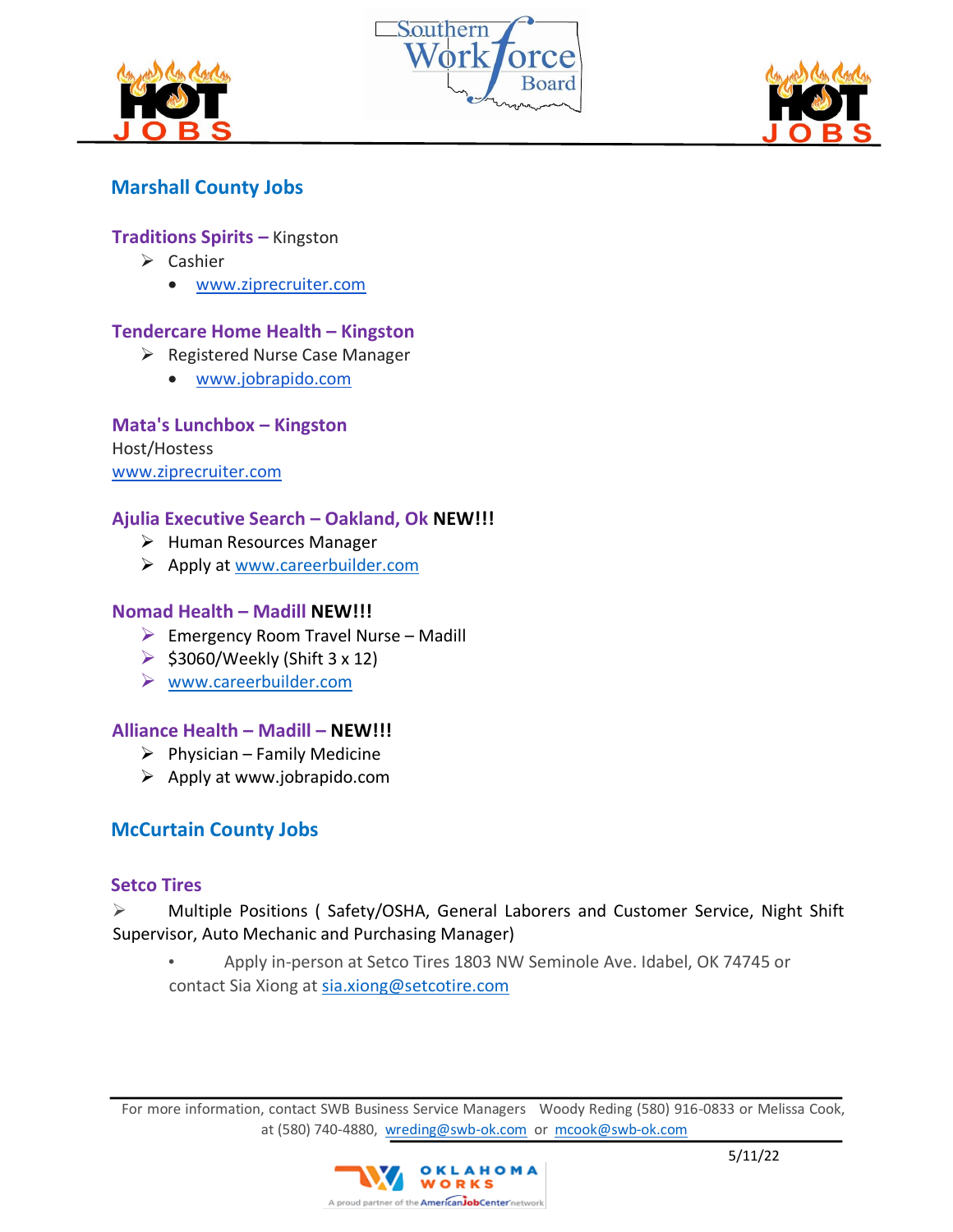





# **Marshall County Jobs**

#### **Traditions Spirits –** Kingston

- ➢ Cashier
	- [www.ziprecruiter.com](http://www.ziprecruiter.com/)

#### **Tendercare Home Health – Kingston**

- $\triangleright$  Registered Nurse Case Manager
	- [www.jobrapido.com](http://www.jobrapido.com/)

#### **Mata's Lunchbox – Kingston**

Host/Hostess [www.ziprecruiter.com](http://www.ziprecruiter.com/)

#### **Ajulia Executive Search – Oakland, Ok NEW!!!**

- ➢ Human Resources Manager
- ➢ Apply at [www.careerbuilder.com](http://www.careerbuilder.com/)

#### **Nomad Health – Madill NEW!!!**

- $\triangleright$  Emergency Room Travel Nurse Madill
- $\triangleright$  \$3060/Weekly (Shift 3 x 12)
- ➢ [www.careerbuilder.com](http://www.careerbuilder.com/)

#### **Alliance Health – Madill – NEW!!!**

- $\triangleright$  Physician Family Medicine
- $\triangleright$  Apply at www.jobrapido.com

## **McCurtain County Jobs**

#### **Setco Tires**

## ➢ Multiple Positions ( Safety/OSHA, General Laborers and Customer Service, Night Shift Supervisor, Auto Mechanic and Purchasing Manager)

• Apply in-person at Setco Tires 1803 NW Seminole Ave. Idabel, OK 74745 or contact Sia Xiong at sia.xiong@setcotire.com

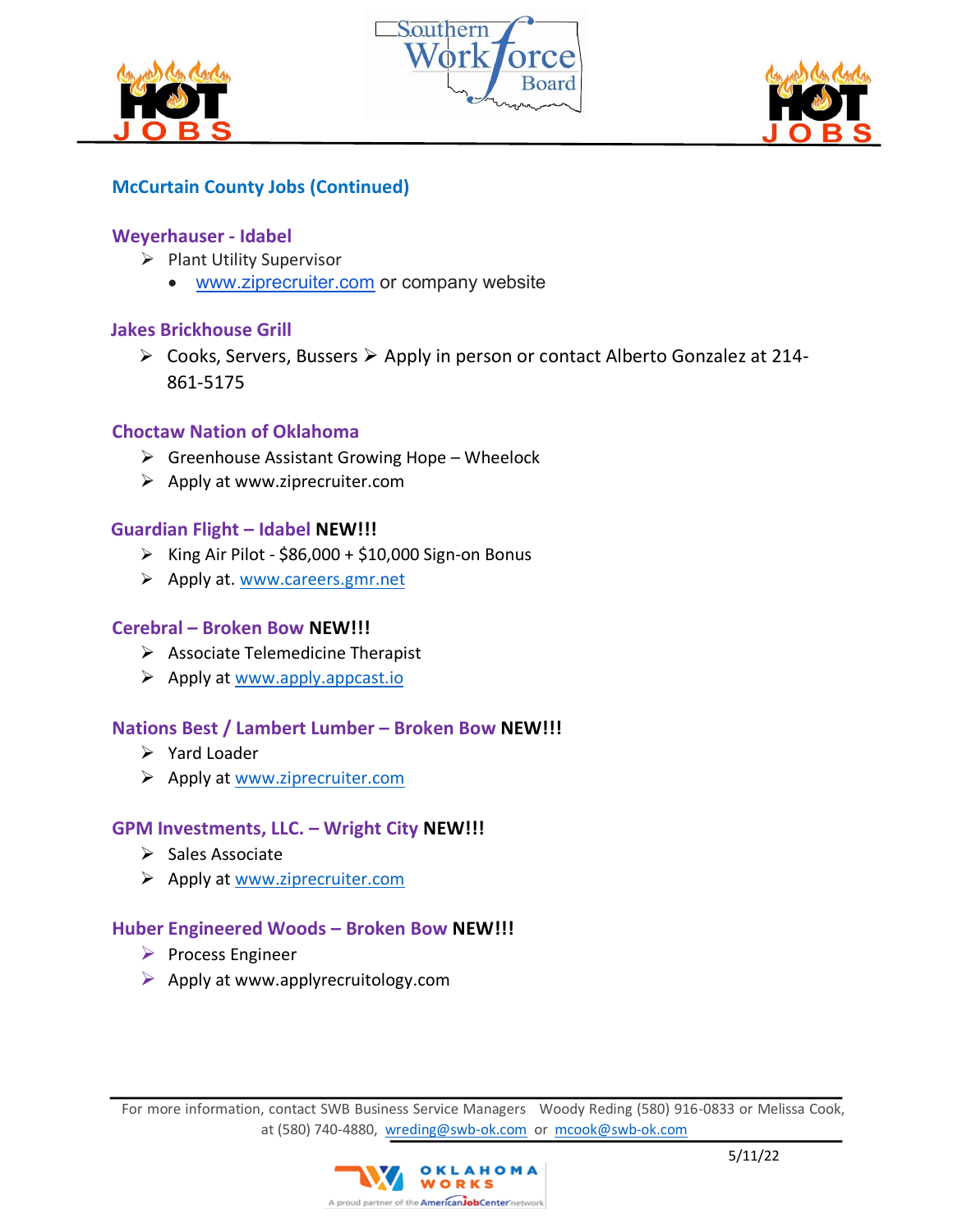





# **McCurtain County Jobs (Continued)**

#### **Weyerhauser - Idabel**

- ➢ Plant Utility Supervisor
	- [www.ziprecruiter.com](http://www.ziprecruiter.com/) or company website

## **Jakes Brickhouse Grill**

➢ Cooks, Servers, Bussers ➢ Apply in person or contact Alberto Gonzalez at 214- 861-5175

#### **Choctaw Nation of Oklahoma**

- $\triangleright$  Greenhouse Assistant Growing Hope Wheelock
- $\triangleright$  Apply at www.ziprecruiter.com

## **Guardian Flight – Idabel NEW!!!**

- $\triangleright$  King Air Pilot \$86,000 + \$10,000 Sign-on Bonus
- ➢ Apply at. [www.careers.gmr.net](http://www.careers.gmr.net/)

#### **Cerebral – Broken Bow NEW!!!**

- $\triangleright$  Associate Telemedicine Therapist
- $\triangleright$  Apply at [www.apply.appcast.io](http://www.apply.appcast.io/)

#### **Nations Best / Lambert Lumber – Broken Bow NEW!!!**

- ➢ Yard Loader
- ➢ Apply at [www.ziprecruiter.com](http://www.ziprecruiter.com/)

#### **GPM Investments, LLC. – Wright City NEW!!!**

- ➢ Sales Associate
- ➢ Apply at [www.ziprecruiter.com](http://www.ziprecruiter.com/)

## **Huber Engineered Woods – Broken Bow NEW!!!**

- ➢ Process Engineer
- $\triangleright$  Apply at www.applyrecruitology.com

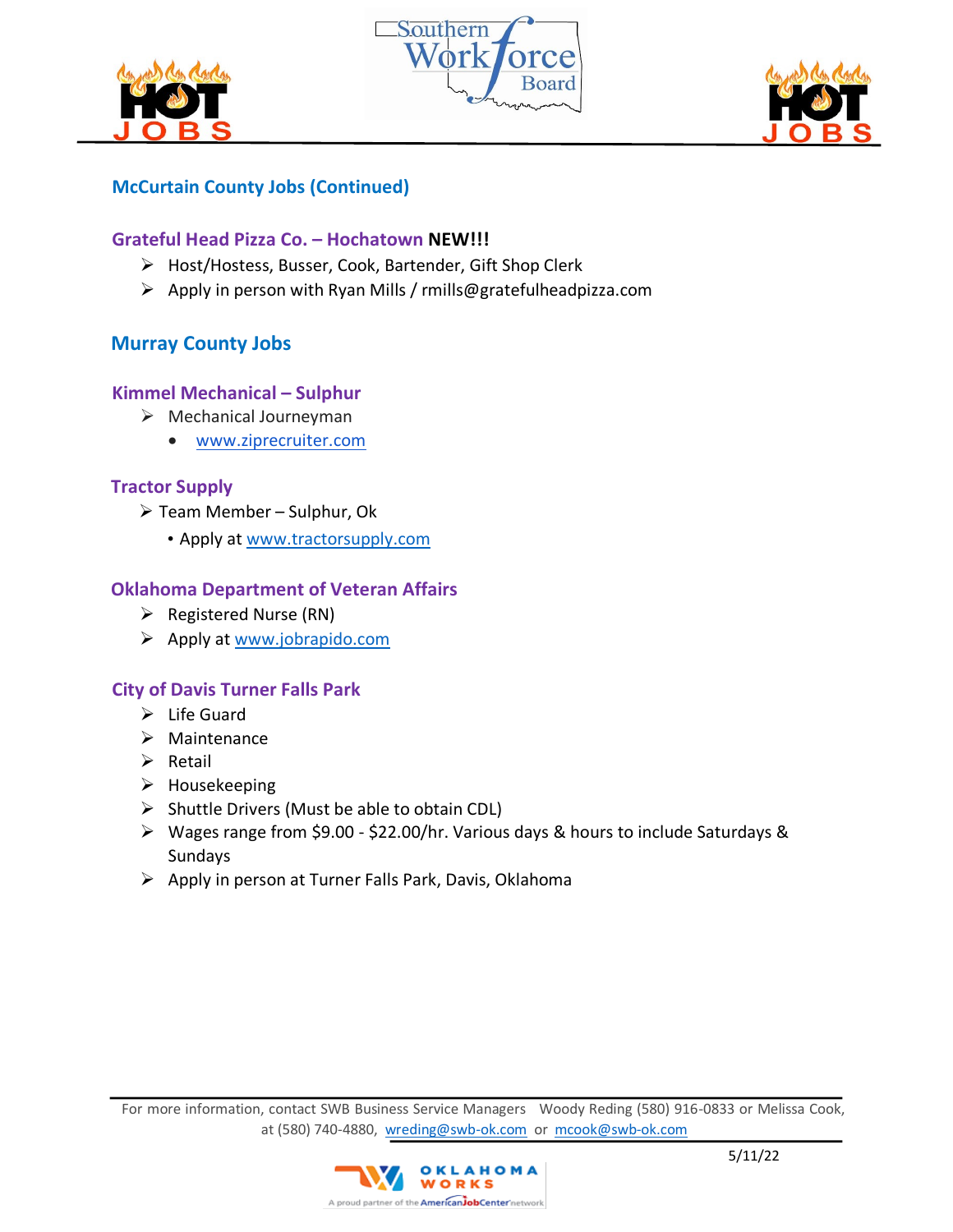





# **McCurtain County Jobs (Continued)**

## **Grateful Head Pizza Co. – Hochatown NEW!!!**

- ➢ Host/Hostess, Busser, Cook, Bartender, Gift Shop Clerk
- ➢ Apply in person with Ryan Mills / rmills@gratefulheadpizza.com

# **Murray County Jobs**

## **Kimmel Mechanical – Sulphur**

- ➢ Mechanical Journeyman
	- [www.ziprecruiter.com](http://www.ziprecruiter.com/)

## **Tractor Supply**

- ➢ Team Member Sulphur, Ok
	- Apply at [www.tractorsupply.com](http://www.tractorsupply.com/)

## **Oklahoma Department of Veteran Affairs**

- ➢ Registered Nurse (RN)
- ➢ Apply a[t www.jobrapido.com](http://www.jobrapido.com/)

## **City of Davis Turner Falls Park**

- $\triangleright$  Life Guard
- ➢ Maintenance
- ➢ Retail
- $\triangleright$  Housekeeping
- $\triangleright$  Shuttle Drivers (Must be able to obtain CDL)
- ➢ Wages range from \$9.00 \$22.00/hr. Various days & hours to include Saturdays & Sundays
- ➢ Apply in person at Turner Falls Park, Davis, Oklahoma

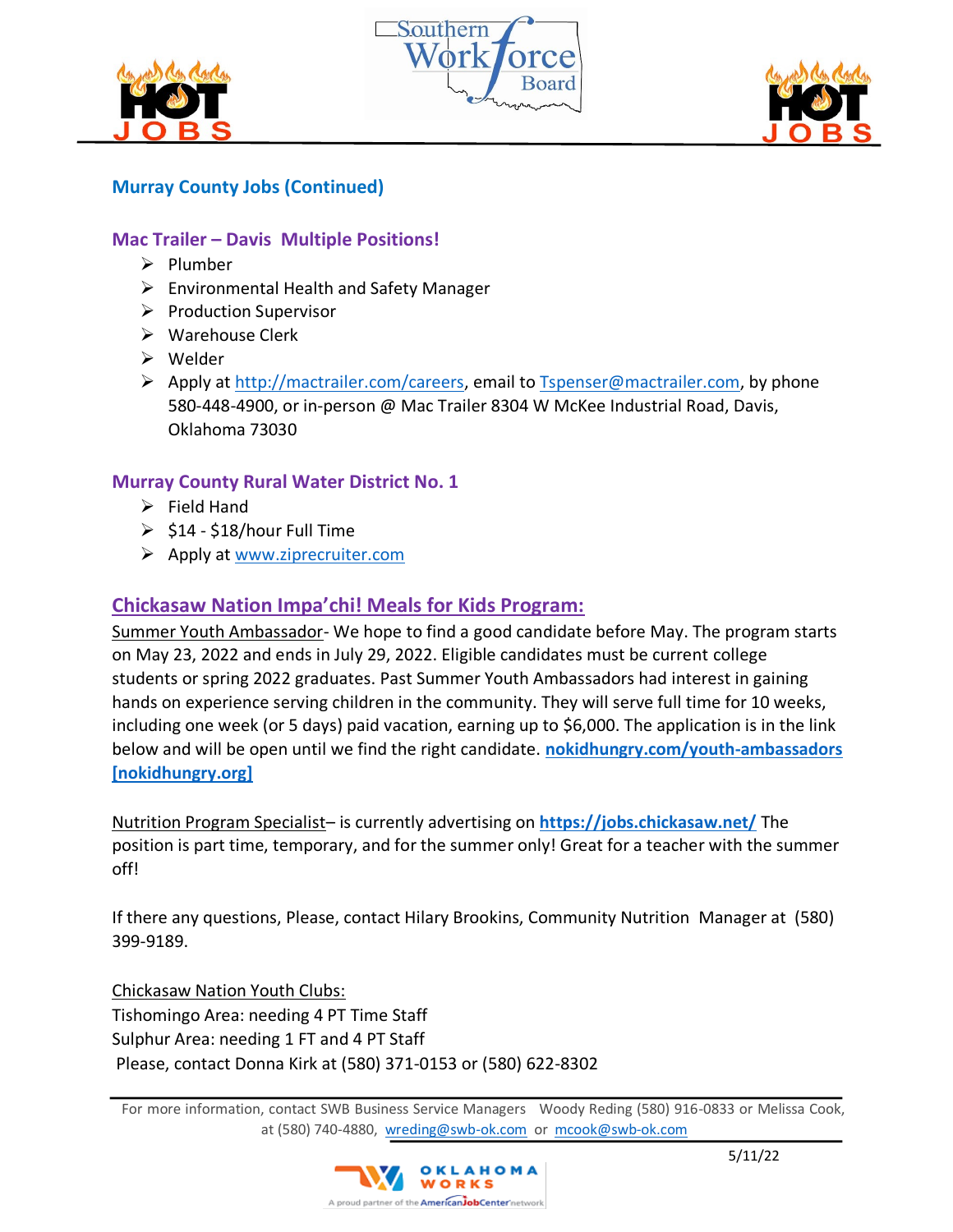





# **Murray County Jobs (Continued)**

## **Mac Trailer – Davis Multiple Positions!**

- ➢ Plumber
- ➢ Environmental Health and Safety Manager
- ➢ Production Supervisor
- ➢ Warehouse Clerk
- ➢ Welder
- ➢ Apply at [http://mactrailer.com/careers,](http://mactrailer.com/careers) email to [Tspenser@mactrailer.com,](mailto:Tspenser@mactrailer.com) by phone 580-448-4900, or in-person @ Mac Trailer 8304 W McKee Industrial Road, Davis, Oklahoma 73030

## **Murray County Rural Water District No. 1**

- $\triangleright$  Field Hand
- $\geq$  \$14 \$18/hour Full Time
- $\triangleright$  Apply at [www.ziprecruiter.com](http://www.ziprecruiter.com/)

## **Chickasaw Nation Impa'chi! Meals for Kids Program:**

Summer Youth Ambassador- We hope to find a good candidate before May. The program starts on May 23, 2022 and ends in July 29, 2022. Eligible candidates must be current college students or spring 2022 graduates. Past Summer Youth Ambassadors had interest in gaining hands on experience serving children in the community. They will serve full time for 10 weeks, including one week (or 5 days) paid vacation, earning up to \$6,000. The application is in the link below and will be open until we find the right candidate. **[nokidhungry.com/youth-ambassadors](https://nam12.safelinks.protection.outlook.com/?url=https%3A%2F%2Furldefense.com%2Fv3%2F__https%3A%2Fwww.nokidhungry.org%2Fyouth-ambassadors__%3B!!IMeFMrRG1GeY!P1EDI8BzuarkBQV40oXexqump_tn3WWY_BP9kh4_VfBa_08Pj6yZL0xpYmgk1l9Ct90r0FM_%24&data=05%7C01%7CLori.McMillin%40mercy.net%7C490f4495c66240021cec08da2d44fbbf%7Cf1afa14862d1472cb26d4c1cfdcaa997%7C0%7C0%7C637872071870622650%7CUnknown%7CTWFpbGZsb3d8eyJWIjoiMC4wLjAwMDAiLCJQIjoiV2luMzIiLCJBTiI6Ik1haWwiLCJXVCI6Mn0%3D%7C2000%7C%7C%7C&sdata=rvxmG7e0iPuI%2F4VshH7RiJpSt7%2B6rH273TijxzRmqqM%3D&reserved=0)  [\[nokidhungry.org\]](https://nam12.safelinks.protection.outlook.com/?url=https%3A%2F%2Furldefense.com%2Fv3%2F__https%3A%2Fwww.nokidhungry.org%2Fyouth-ambassadors__%3B!!IMeFMrRG1GeY!P1EDI8BzuarkBQV40oXexqump_tn3WWY_BP9kh4_VfBa_08Pj6yZL0xpYmgk1l9Ct90r0FM_%24&data=05%7C01%7CLori.McMillin%40mercy.net%7C490f4495c66240021cec08da2d44fbbf%7Cf1afa14862d1472cb26d4c1cfdcaa997%7C0%7C0%7C637872071870622650%7CUnknown%7CTWFpbGZsb3d8eyJWIjoiMC4wLjAwMDAiLCJQIjoiV2luMzIiLCJBTiI6Ik1haWwiLCJXVCI6Mn0%3D%7C2000%7C%7C%7C&sdata=rvxmG7e0iPuI%2F4VshH7RiJpSt7%2B6rH273TijxzRmqqM%3D&reserved=0)**

Nutrition Program Specialist– is currently advertising on **[https://jobs.chickasaw.net/](https://nam12.safelinks.protection.outlook.com/?url=https%3A%2F%2Fjobs.chickasaw.net%2F&data=05%7C01%7CLori.McMillin%40mercy.net%7C490f4495c66240021cec08da2d44fbbf%7Cf1afa14862d1472cb26d4c1cfdcaa997%7C0%7C0%7C637872071870622650%7CUnknown%7CTWFpbGZsb3d8eyJWIjoiMC4wLjAwMDAiLCJQIjoiV2luMzIiLCJBTiI6Ik1haWwiLCJXVCI6Mn0%3D%7C2000%7C%7C%7C&sdata=bfEsca77RtxjnBZ2jqgQFY3%2F0Z3%2B0BzNifgSsFpaKjU%3D&reserved=0)** The position is part time, temporary, and for the summer only! Great for a teacher with the summer off!

If there any questions, Please, contact Hilary Brookins, Community Nutrition Manager at (580) 399-9189.

Chickasaw Nation Youth Clubs: Tishomingo Area: needing 4 PT Time Staff Sulphur Area: needing 1 FT and 4 PT Staff Please, contact Donna Kirk at (580) 371-0153 or (580) 622-8302

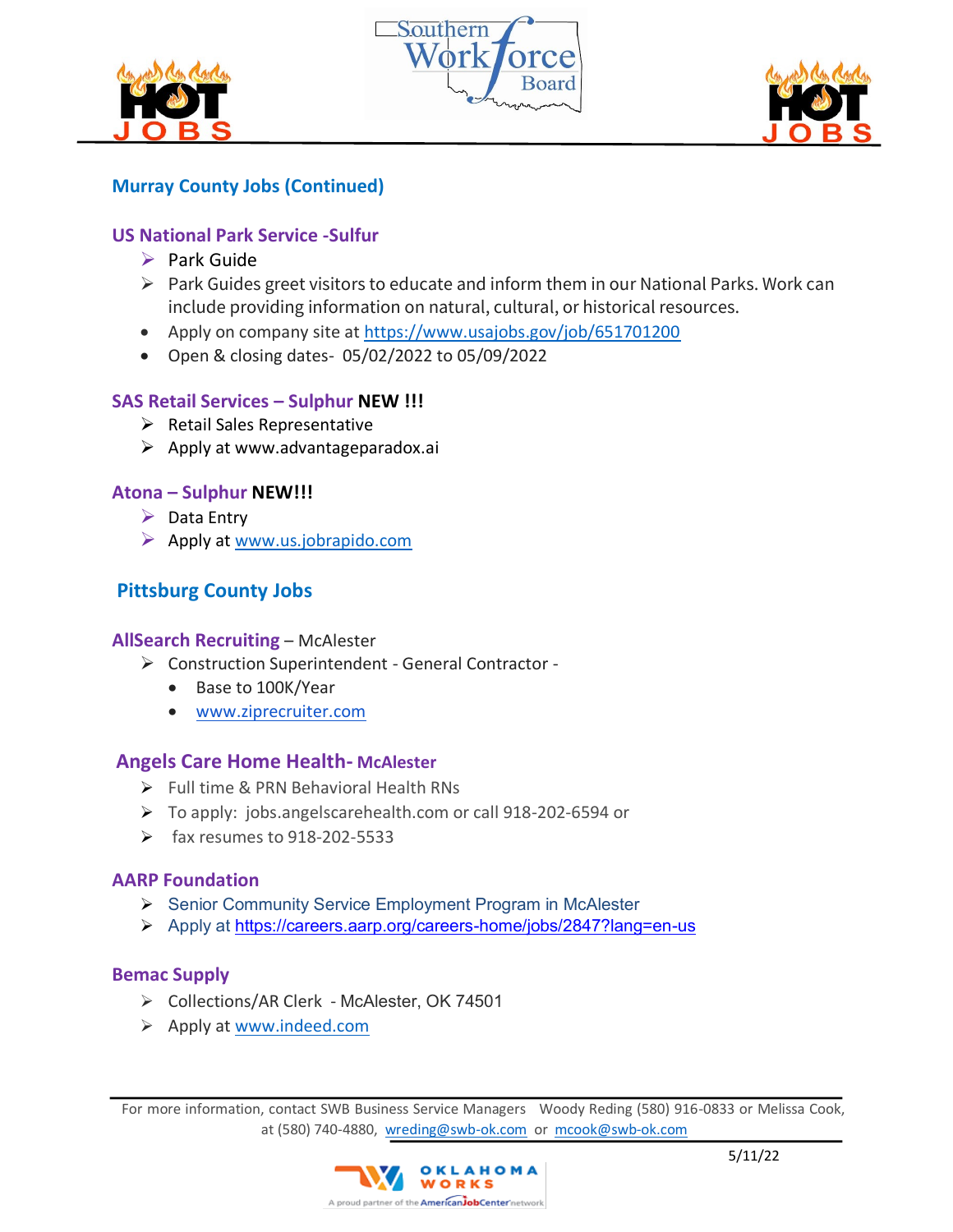





# **Murray County Jobs (Continued)**

## **US National Park Service -Sulfur**

- ➢ Park Guide
- $\triangleright$  Park Guides greet visitors to educate and inform them in our National Parks. Work can include providing information on natural, cultural, or historical resources.
- Apply on company site at<https://www.usajobs.gov/job/651701200>
- Open & closing dates- 05/02/2022 to 05/09/2022

# **SAS Retail Services – Sulphur NEW !!!**

- ➢ Retail Sales Representative
- ➢ Apply at www.advantageparadox.ai

## **Atona – Sulphur NEW!!!**

- $\triangleright$  Data Entry
- ➢ Apply at [www.us.jobrapido.com](http://www.us.jobrapido.com/)

# **Pittsburg County Jobs**

#### **AllSearch Recruiting** – McAlester

- ➢ Construction Superintendent General Contractor
	- Base to 100K/Year
	- [www.ziprecruiter.com](http://www.ziprecruiter.com/)

## **Angels Care Home Health- McAlester**

- ➢ Full time & PRN Behavioral Health RNs
- ➢ To apply: jobs.angelscarehealth.com or call 918-202-6594 or
- $\triangleright$  fax resumes to 918-202-5533

## **AARP Foundation**

- ➢ Senior Community Service Employment Program in McAlester
- ➢ Apply at [https://careers.aarp.org/careers-home/jobs/2847?lang=en-us](https://nam12.safelinks.protection.outlook.com/?url=https%3A%2F%2Fcareers.aarp.org%2Fcareers-home%2Fjobs%2F2847%3Flang%3Den-us&data=05%7C01%7Cewalker%40aarp.org%7C0d1e6721ea984887512608da23e03990%7Ca395e38b4b754e4493499a37de460a33%7C0%7C0%7C637861743195891292%7CUnknown%7CTWFpbGZsb3d8eyJWIjoiMC4wLjAwMDAiLCJQIjoiV2luMzIiLCJBTiI6Ik1haWwiLCJXVCI6Mn0%3D%7C3000%7C%7C%7C&sdata=B43EKW3WiYQbJdUnAZm99DqJMpsa5iTwHXRl%2BnMzAb0%3D&reserved=0)

## **[Bemac Supply](https://www.indeed.com/cmp/Bemac-Supply-1?campaignid=mobvjcmp&from=mobviewjob&tk=1fvtpot2upkjs800&fromjk=74a98ddbba4ff5f4)**

- ➢ Collections/AR Clerk McAlester, OK 74501
- ➢ Apply at [www.indeed.com](http://www.indeed.com/)

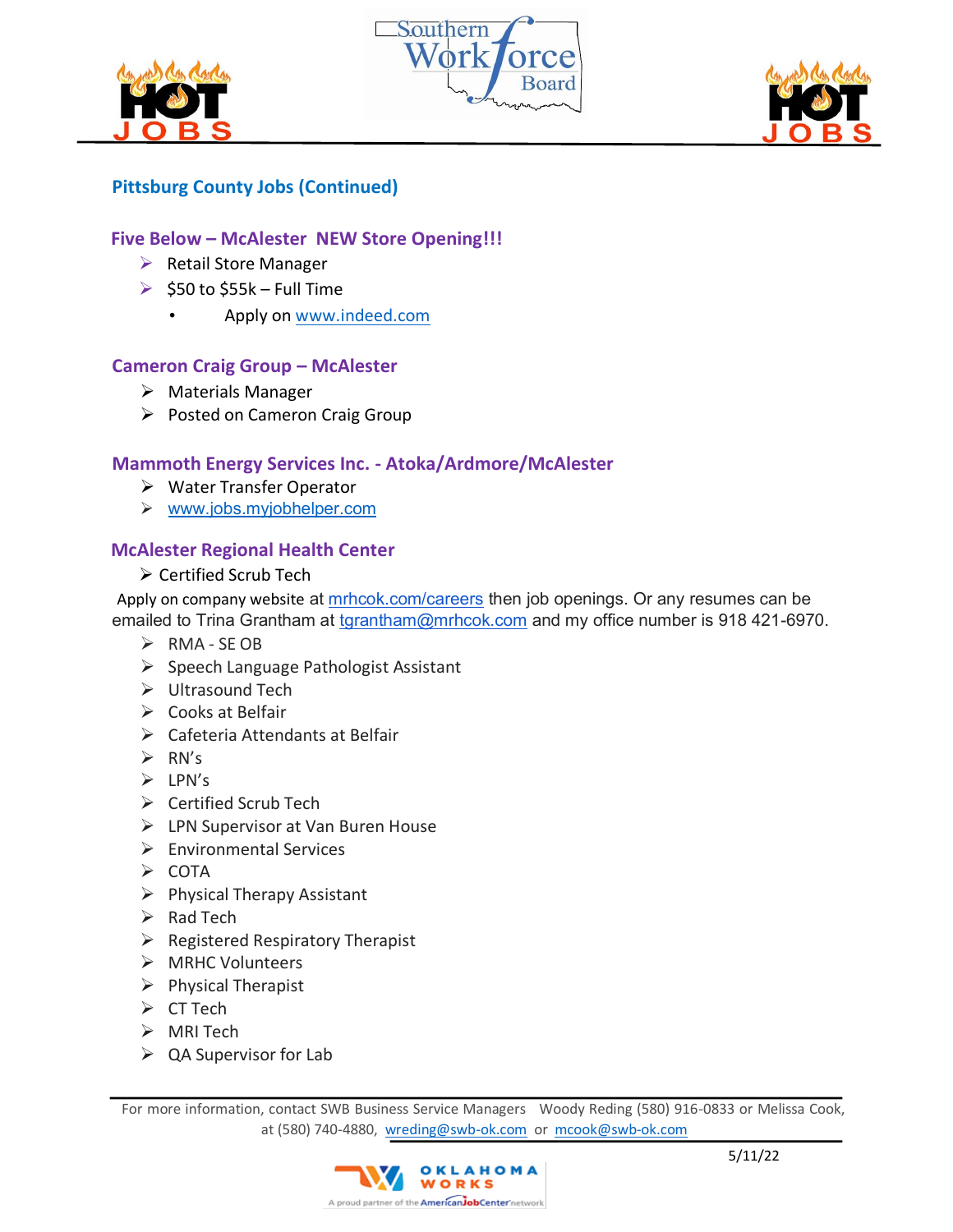





# **Pittsburg County Jobs (Continued)**

## **Five Below – McAlester NEW Store Opening!!!**

- ➢ Retail Store Manager
- $\triangleright$  \$50 to \$55k Full Time
	- Apply on [www.indeed.com](http://www.indeed.com/)

## **Cameron Craig Group – McAlester**

- ➢ Materials Manager
- ➢ Posted on Cameron Craig Group

## **Mammoth Energy Services Inc. - Atoka/Ardmore/McAlester**

- ➢ Water Transfer Operator
- ➢ [www.jobs.myjobhelper.com](http://www.jobs.myjobhelper.com/)

## **McAlester Regional Health Center**

➢ Certified Scrub Tech

Apply on company website at [mrhcok.com/careers](http://mrhcok.com/careers) then job openings. Or any resumes can be emailed to Trina Grantham at [tgrantham@mrhcok.com](mailto:tgrantham@mrhcok.com) and my office number is 918 421-6970.

- ➢ RMA SE OB
- ➢ Speech Language Pathologist Assistant
- ➢ Ultrasound Tech
- ➢ Cooks at Belfair
- ➢ Cafeteria Attendants at Belfair
- $\triangleright$  RN's
- ➢ LPN's
- ➢ Certified Scrub Tech
- ➢ LPN Supervisor at Van Buren House
- ➢ Environmental Services
- ➢ COTA
- ➢ Physical Therapy Assistant
- $\triangleright$  Rad Tech
- $\triangleright$  Registered Respiratory Therapist
- ➢ MRHC Volunteers
- ➢ Physical Therapist
- ➢ CT Tech
- ➢ MRI Tech
- $\triangleright$  QA Supervisor for Lab

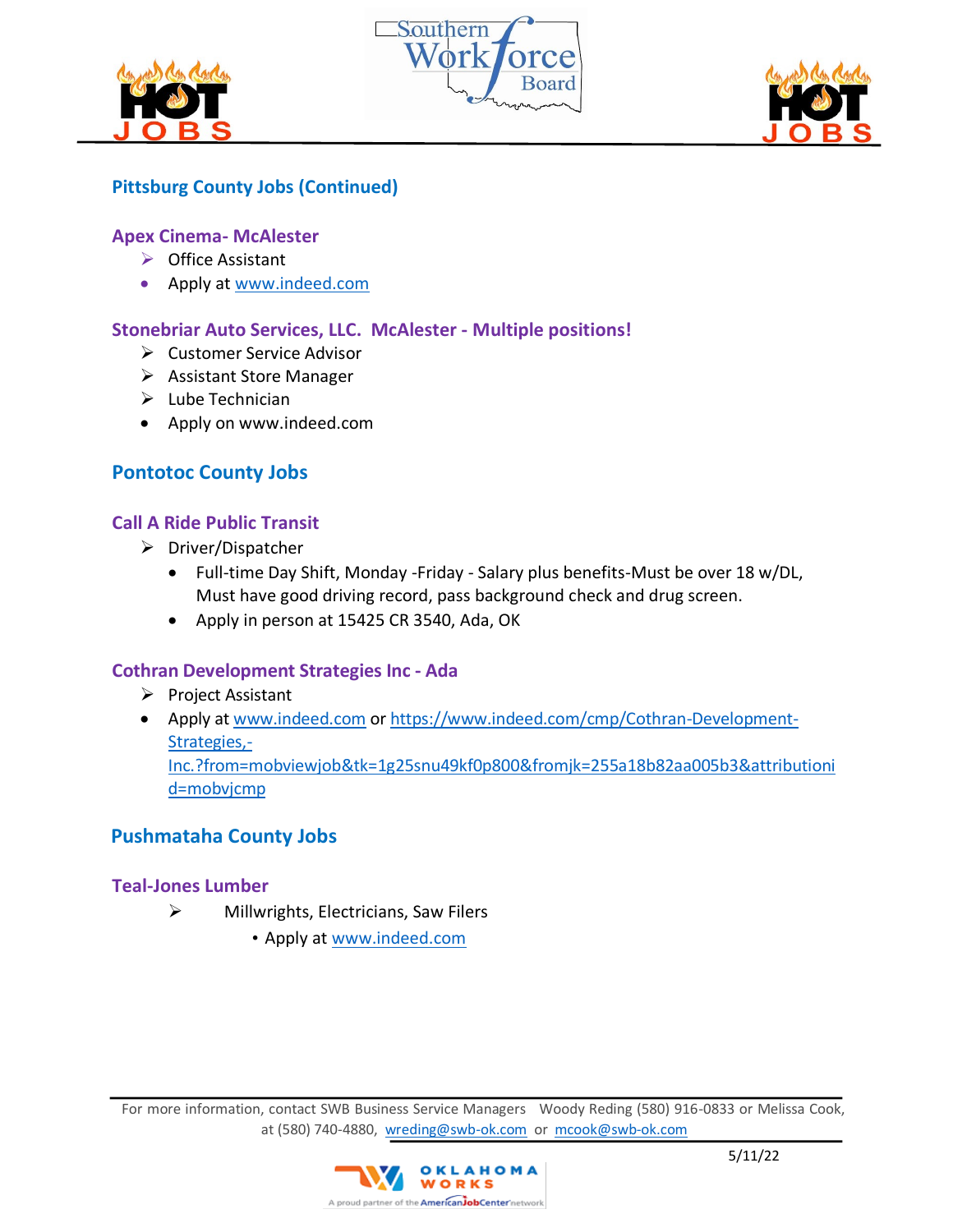





## **Pittsburg County Jobs (Continued)**

#### **Apex Cinema- McAlester**

- ➢ Office Assistant
- Apply at www.indeed.com

## **Stonebriar Auto Services, LLC. McAlester - Multiple positions!**

- ➢ Customer Service Advisor
- ➢ Assistant Store Manager
- $\blacktriangleright$  Lube Technician
- Apply on www.indeed.com

## **Pontotoc County Jobs**

## **Call A Ride Public Transit**

- ➢ Driver/Dispatcher
	- Full-time Day Shift, Monday -Friday Salary plus benefits-Must be over 18 w/DL, Must have good driving record, pass background check and drug screen.
	- Apply in person at 15425 CR 3540, Ada, OK

## **Cothran Development Strategies Inc - Ada**

- ➢ Project Assistant
- Apply at www.indeed.com or https://www.indeed.com/cmp/Cothran-Development-Strategies,- Inc.?from=mobviewjob&tk=1g25snu49kf0p800&fromjk=255a18b82aa005b3&attributioni d=mobvjcmp

# **Pushmataha County Jobs**

## **Teal-Jones Lumber**

- ➢ Millwrights, Electricians, Saw Filers
	- Apply at www.indeed.com

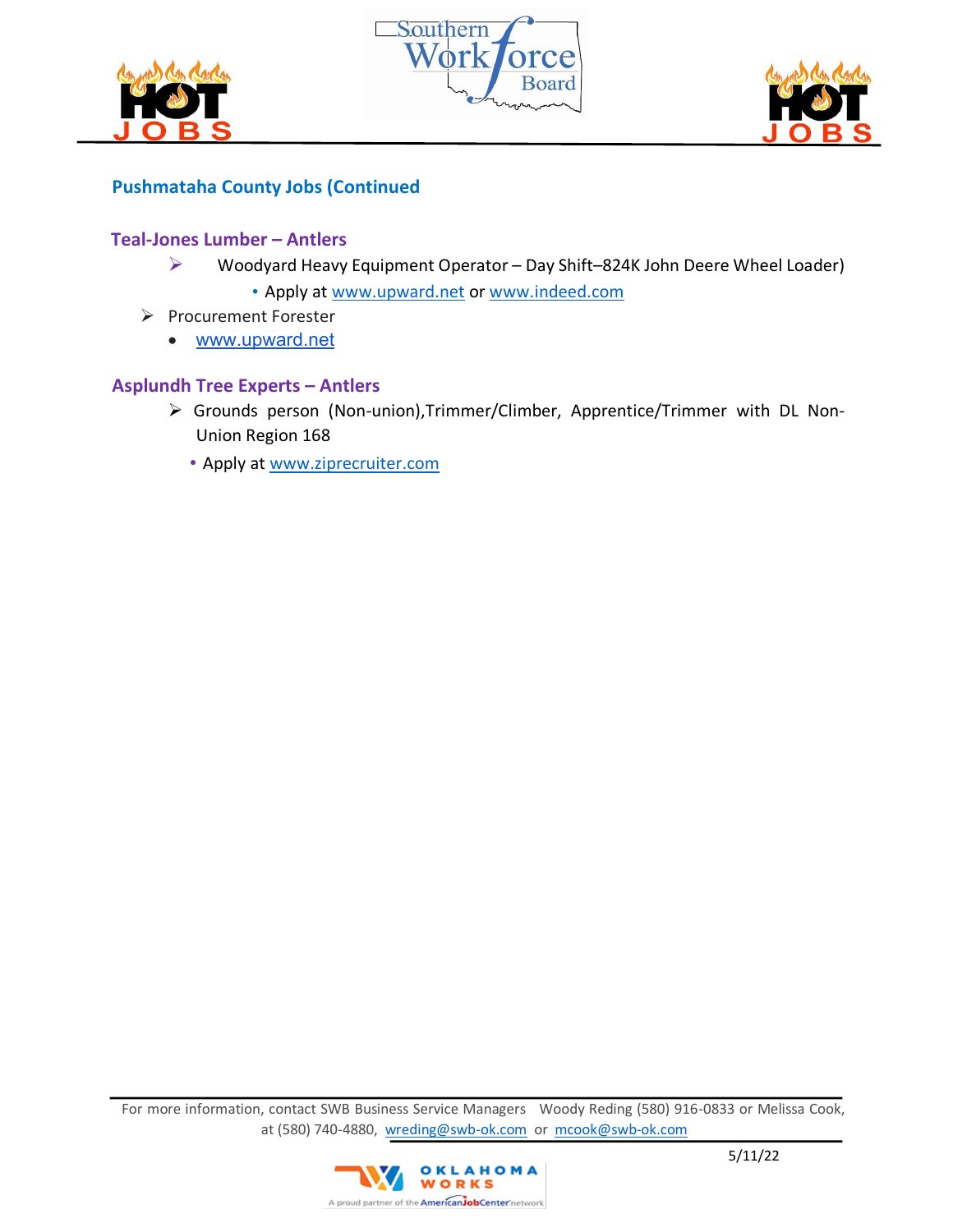





# **Pushmataha County Jobs (Continued**

## **Teal-Jones Lumber – Antlers**

- ➢ Woodyard Heavy Equipment Operator Day Shift–824K John Deere Wheel Loader)
	- Apply at www.upward.net or www.indeed.com
- ➢ Procurement Forester
	- www.upward.net

#### **Asplundh Tree Experts – Antlers**

- ➢ Grounds person (Non-union),Trimmer/Climber, Apprentice/Trimmer with DL Non-Union Region 168
	- Apply at www.ziprecruiter.com